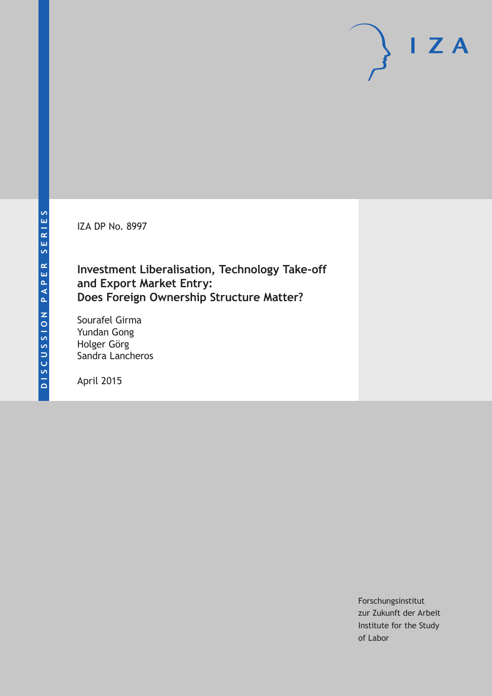IZA DP No. 8997

## **Investment Liberalisation, Technology Take-off and Export Market Entry: Does Foreign Ownership Structure Matter?**

Sourafel Girma Yundan Gong Holger Görg Sandra Lancheros

April 2015

Forschungsinstitut zur Zukunft der Arbeit Institute for the Study of Labor

 $I Z A$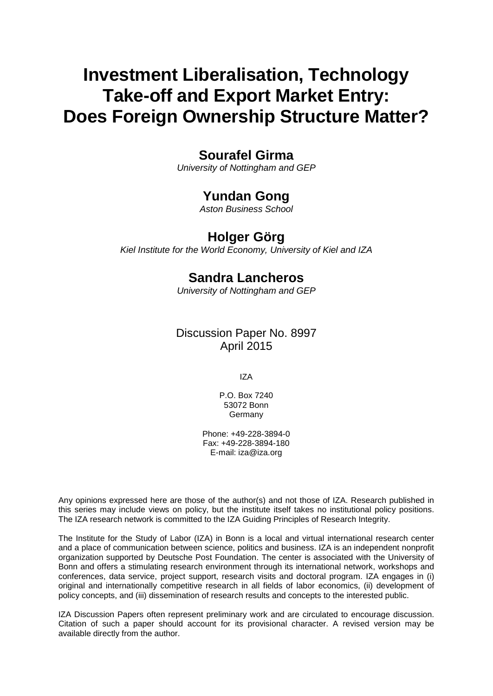# **Investment Liberalisation, Technology Take-off and Export Market Entry: Does Foreign Ownership Structure Matter?**

### **Sourafel Girma**

*University of Nottingham and GEP*

### **Yundan Gong**

*Aston Business School*

### **Holger Görg**

*Kiel Institute for the World Economy, University of Kiel and IZA*

### **Sandra Lancheros**

*University of Nottingham and GEP*

### Discussion Paper No. 8997 April 2015

IZA

P.O. Box 7240 53072 Bonn Germany

Phone: +49-228-3894-0 Fax: +49-228-3894-180 E-mail: iza@iza.org

Any opinions expressed here are those of the author(s) and not those of IZA. Research published in this series may include views on policy, but the institute itself takes no institutional policy positions. The IZA research network is committed to the IZA Guiding Principles of Research Integrity.

The Institute for the Study of Labor (IZA) in Bonn is a local and virtual international research center and a place of communication between science, politics and business. IZA is an independent nonprofit organization supported by Deutsche Post Foundation. The center is associated with the University of Bonn and offers a stimulating research environment through its international network, workshops and conferences, data service, project support, research visits and doctoral program. IZA engages in (i) original and internationally competitive research in all fields of labor economics, (ii) development of policy concepts, and (iii) dissemination of research results and concepts to the interested public.

IZA Discussion Papers often represent preliminary work and are circulated to encourage discussion. Citation of such a paper should account for its provisional character. A revised version may be available directly from the author.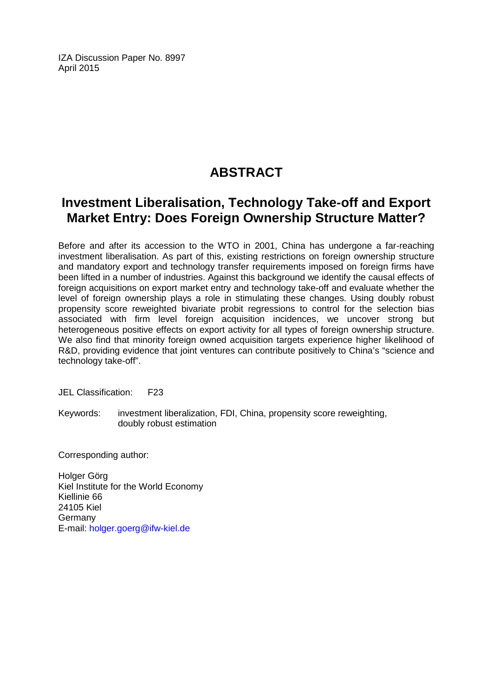IZA Discussion Paper No. 8997 April 2015

## **ABSTRACT**

## **Investment Liberalisation, Technology Take-off and Export Market Entry: Does Foreign Ownership Structure Matter?**

Before and after its accession to the WTO in 2001, China has undergone a far-reaching investment liberalisation. As part of this, existing restrictions on foreign ownership structure and mandatory export and technology transfer requirements imposed on foreign firms have been lifted in a number of industries. Against this background we identify the causal effects of foreign acquisitions on export market entry and technology take-off and evaluate whether the level of foreign ownership plays a role in stimulating these changes. Using doubly robust propensity score reweighted bivariate probit regressions to control for the selection bias associated with firm level foreign acquisition incidences, we uncover strong but heterogeneous positive effects on export activity for all types of foreign ownership structure. We also find that minority foreign owned acquisition targets experience higher likelihood of R&D, providing evidence that joint ventures can contribute positively to China's "science and technology take-off".

JEL Classification: F23

Keywords: investment liberalization, FDI, China, propensity score reweighting, doubly robust estimation

Corresponding author:

Holger Görg Kiel Institute for the World Economy Kiellinie 66 24105 Kiel Germany E-mail: [holger.goerg@ifw-kiel.de](mailto:holger.goerg@ifw-kiel.de)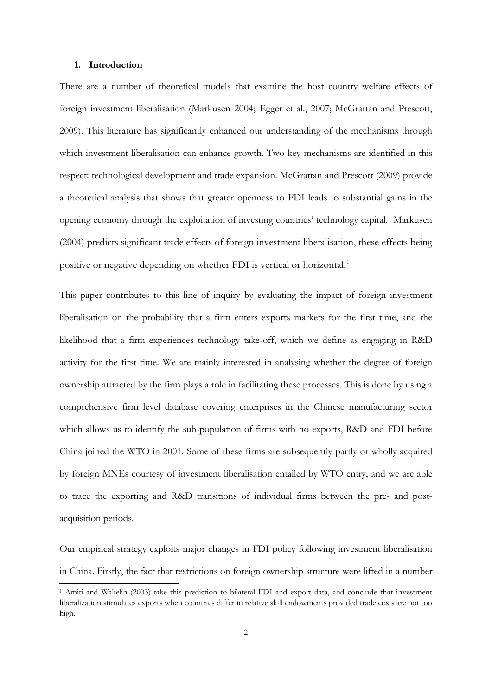#### **1. Introduction**

-

There are a number of theoretical models that examine the host country welfare effects of foreign investment liberalisation (Markusen 2004; Egger et al., 2007; McGrattan and Prescott, 2009). This literature has significantly enhanced our understanding of the mechanisms through which investment liberalisation can enhance growth. Two key mechanisms are identified in this respect: technological development and trade expansion. McGrattan and Prescott (2009) provide a theoretical analysis that shows that greater openness to FDI leads to substantial gains in the opening economy through the exploitation of investing countries' technology capital. Markusen (2004) predicts significant trade effects of foreign investment liberalisation, these effects being positive or negative depending on whether FDI is vertical or horizontal.<sup>[1](#page-25-0)</sup>

This paper contributes to this line of inquiry by evaluating the impact of foreign investment liberalisation on the probability that a firm enters exports markets for the first time, and the likelihood that a firm experiences technology take-off, which we define as engaging in R&D activity for the first time. We are mainly interested in analysing whether the degree of foreign ownership attracted by the firm plays a role in facilitating these processes. This is done by using a comprehensive firm level database covering enterprises in the Chinese manufacturing sector which allows us to identify the sub-population of firms with no exports, R&D and FDI before China joined the WTO in 2001. Some of these firms are subsequently partly or wholly acquired by foreign MNEs courtesy of investment liberalisation entailed by WTO entry, and we are able to trace the exporting and R&D transitions of individual firms between the pre- and postacquisition periods.

Our empirical strategy exploits major changes in FDI policy following investment liberalisation in China. Firstly, the fact that restrictions on foreign ownership structure were lifted in a number

<span id="page-3-0"></span><sup>1</sup> Amiti and Wakelin (2003) take this prediction to bilateral FDI and export data, and conclude that investment liberalization stimulates exports when countries differ in relative skill endowments provided trade costs are not too high.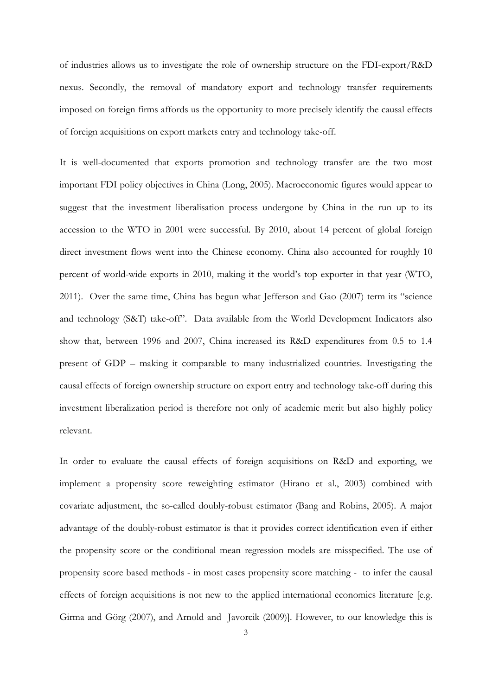of industries allows us to investigate the role of ownership structure on the FDI-export/R&D nexus. Secondly, the removal of mandatory export and technology transfer requirements imposed on foreign firms affords us the opportunity to more precisely identify the causal effects of foreign acquisitions on export markets entry and technology take-off.

It is well-documented that exports promotion and technology transfer are the two most important FDI policy objectives in China (Long, 2005). Macroeconomic figures would appear to suggest that the investment liberalisation process undergone by China in the run up to its accession to the WTO in 2001 were successful. By 2010, about 14 percent of global foreign direct investment flows went into the Chinese economy. China also accounted for roughly 10 percent of world-wide exports in 2010, making it the world's top exporter in that year (WTO, 2011). Over the same time, China has begun what Jefferson and Gao (2007) term its "science and technology (S&T) take-off". Data available from the World Development Indicators also show that, between 1996 and 2007, China increased its R&D expenditures from 0.5 to 1.4 present of GDP – making it comparable to many industrialized countries. Investigating the causal effects of foreign ownership structure on export entry and technology take-off during this investment liberalization period is therefore not only of academic merit but also highly policy relevant.

In order to evaluate the causal effects of foreign acquisitions on R&D and exporting, we implement a propensity score reweighting estimator (Hirano et al., 2003) combined with covariate adjustment, the so-called doubly-robust estimator (Bang and Robins, 2005). A major advantage of the doubly-robust estimator is that it provides correct identification even if either the propensity score or the conditional mean regression models are misspecified. The use of propensity score based methods - in most cases propensity score matching - to infer the causal effects of foreign acquisitions is not new to the applied international economics literature [e.g. Girma and Görg (2007), and Arnold and Javorcik (2009)]. However, to our knowledge this is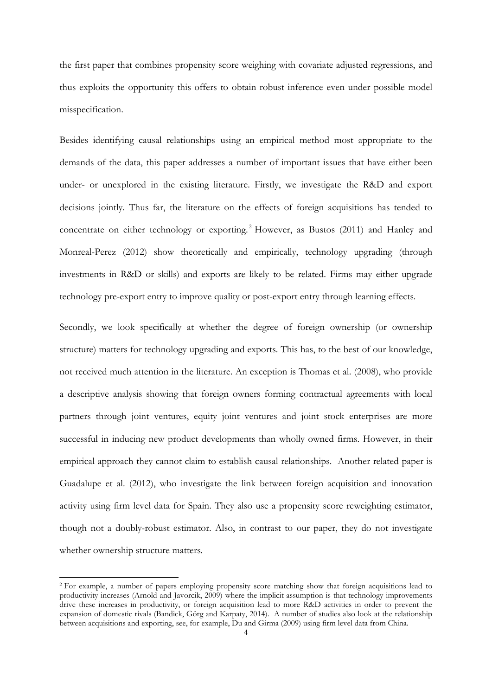the first paper that combines propensity score weighing with covariate adjusted regressions, and thus exploits the opportunity this offers to obtain robust inference even under possible model misspecification.

Besides identifying causal relationships using an empirical method most appropriate to the demands of the data, this paper addresses a number of important issues that have either been under- or unexplored in the existing literature. Firstly, we investigate the R&D and export decisions jointly. Thus far, the literature on the effects of foreign acquisitions has tended to concentrate on either technology or exporting.<sup>[2](#page-3-0)</sup> However, as Bustos (2011) and Hanley and Monreal-Perez (2012) show theoretically and empirically, technology upgrading (through investments in R&D or skills) and exports are likely to be related. Firms may either upgrade technology pre-export entry to improve quality or post-export entry through learning effects.

Secondly, we look specifically at whether the degree of foreign ownership (or ownership structure) matters for technology upgrading and exports. This has, to the best of our knowledge, not received much attention in the literature. An exception is Thomas et al. (2008), who provide a descriptive analysis showing that foreign owners forming contractual agreements with local partners through joint ventures, equity joint ventures and joint stock enterprises are more successful in inducing new product developments than wholly owned firms. However, in their empirical approach they cannot claim to establish causal relationships. Another related paper is Guadalupe et al. (2012), who investigate the link between foreign acquisition and innovation activity using firm level data for Spain. They also use a propensity score reweighting estimator, though not a doubly-robust estimator. Also, in contrast to our paper, they do not investigate whether ownership structure matters.

-

<span id="page-5-0"></span><sup>&</sup>lt;sup>2</sup> For example, a number of papers employing propensity score matching show that foreign acquisitions lead to productivity increases (Arnold and Javorcik, 2009) where the implicit assumption is that technology improvements drive these increases in productivity, or foreign acquisition lead to more R&D activities in order to prevent the expansion of domestic rivals (Bandick, Görg and Karpaty, 2014). A number of studies also look at the relationship between acquisitions and exporting, see, for example, Du and Girma (2009) using firm level data from China.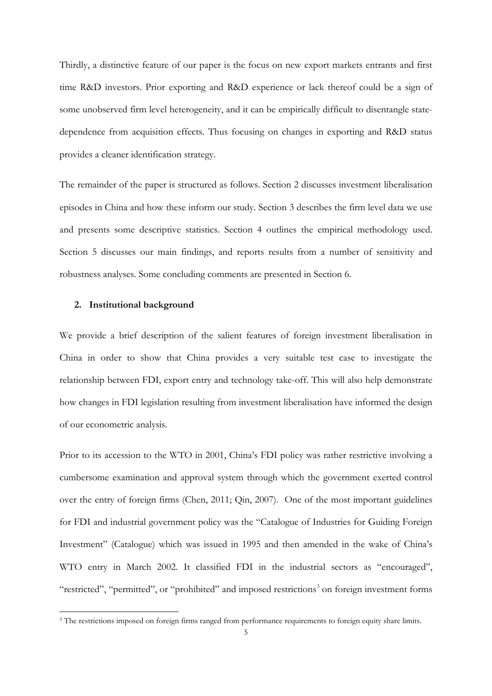Thirdly, a distinctive feature of our paper is the focus on new export markets entrants and first time R&D investors. Prior exporting and R&D experience or lack thereof could be a sign of some unobserved firm level heterogeneity, and it can be empirically difficult to disentangle statedependence from acquisition effects. Thus focusing on changes in exporting and R&D status provides a cleaner identification strategy.

The remainder of the paper is structured as follows. Section 2 discusses investment liberalisation episodes in China and how these inform our study. Section 3 describes the firm level data we use and presents some descriptive statistics. Section 4 outlines the empirical methodology used. Section 5 discusses our main findings, and reports results from a number of sensitivity and robustness analyses. Some concluding comments are presented in Section 6.

#### **2. Institutional background**

<span id="page-6-0"></span>-

We provide a brief description of the salient features of foreign investment liberalisation in China in order to show that China provides a very suitable test case to investigate the relationship between FDI, export entry and technology take-off. This will also help demonstrate how changes in FDI legislation resulting from investment liberalisation have informed the design of our econometric analysis.

Prior to its accession to the WTO in 2001, China's FDI policy was rather restrictive involving a cumbersome examination and approval system through which the government exerted control over the entry of foreign firms (Chen, 2011; Qin, 2007). One of the most important guidelines for FDI and industrial government policy was the "Catalogue of Industries for Guiding Foreign Investment" (Catalogue) which was issued in 1995 and then amended in the wake of China's WTO entry in March 2002. It classified FDI in the industrial sectors as "encouraged", "restricted", "permitted", or "prohibited" and imposed restrictions<sup>[3](#page-5-0)</sup> on foreign investment forms

<sup>&</sup>lt;sup>3</sup> The restrictions imposed on foreign firms ranged from performance requirements to foreign equity share limits.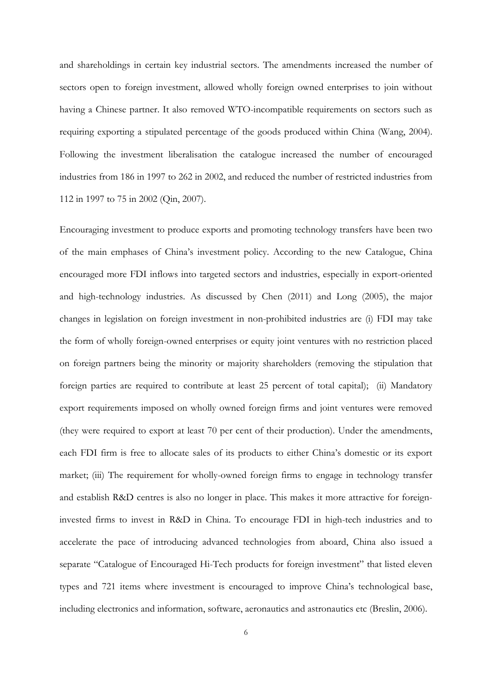and shareholdings in certain key industrial sectors. The amendments increased the number of sectors open to foreign investment, allowed wholly foreign owned enterprises to join without having a Chinese partner. It also removed WTO-incompatible requirements on sectors such as requiring exporting a stipulated percentage of the goods produced within China (Wang, 2004). Following the investment liberalisation the catalogue increased the number of encouraged industries from 186 in 1997 to 262 in 2002, and reduced the number of restricted industries from 112 in 1997 to 75 in 2002 (Qin, 2007).

Encouraging investment to produce exports and promoting technology transfers have been two of the main emphases of China's investment policy. According to the new Catalogue, China encouraged more FDI inflows into targeted sectors and industries, especially in export-oriented and high-technology industries. As discussed by Chen (2011) and Long (2005), the major changes in legislation on foreign investment in non-prohibited industries are (i) FDI may take the form of wholly foreign-owned enterprises or equity joint ventures with no restriction placed on foreign partners being the minority or majority shareholders (removing the stipulation that foreign parties are required to contribute at least 25 percent of total capital); (ii) Mandatory export requirements imposed on wholly owned foreign firms and joint ventures were removed (they were required to export at least 70 per cent of their production). Under the amendments, each FDI firm is free to allocate sales of its products to either China's domestic or its export market; (iii) The requirement for wholly-owned foreign firms to engage in technology transfer and establish R&D centres is also no longer in place. This makes it more attractive for foreigninvested firms to invest in R&D in China. To encourage FDI in high-tech industries and to accelerate the pace of introducing advanced technologies from aboard, China also issued a separate "Catalogue of Encouraged Hi-Tech products for foreign investment" that listed eleven types and 721 items where investment is encouraged to improve China's technological base, including electronics and information, software, aeronautics and astronautics etc (Breslin, 2006).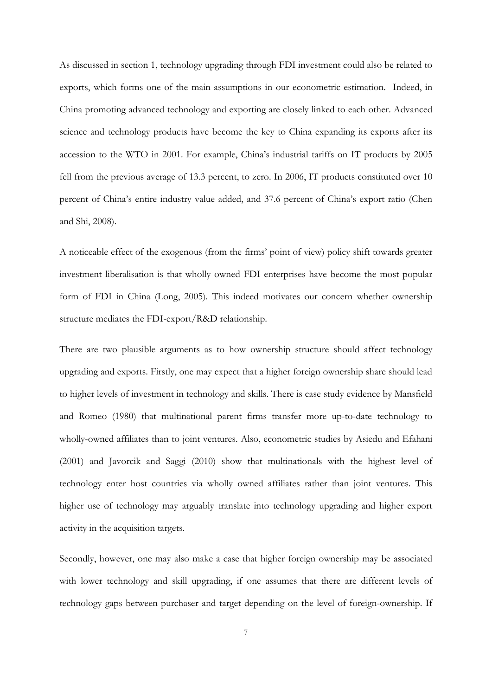As discussed in section 1, technology upgrading through FDI investment could also be related to exports, which forms one of the main assumptions in our econometric estimation. Indeed, in China promoting advanced technology and exporting are closely linked to each other. Advanced science and technology products have become the key to China expanding its exports after its accession to the WTO in 2001. For example, China's industrial tariffs on IT products by 2005 fell from the previous average of 13.3 percent, to zero. In 2006, IT products constituted over 10 percent of China's entire industry value added, and 37.6 percent of China's export ratio (Chen and Shi, 2008).

A noticeable effect of the exogenous (from the firms' point of view) policy shift towards greater investment liberalisation is that wholly owned FDI enterprises have become the most popular form of FDI in China (Long, 2005). This indeed motivates our concern whether ownership structure mediates the FDI-export/R&D relationship.

There are two plausible arguments as to how ownership structure should affect technology upgrading and exports. Firstly, one may expect that a higher foreign ownership share should lead to higher levels of investment in technology and skills. There is case study evidence by Mansfield and Romeo (1980) that multinational parent firms transfer more up-to-date technology to wholly-owned affiliates than to joint ventures. Also, econometric studies by Asiedu and Efahani (2001) and Javorcik and Saggi (2010) show that multinationals with the highest level of technology enter host countries via wholly owned affiliates rather than joint ventures. This higher use of technology may arguably translate into technology upgrading and higher export activity in the acquisition targets.

Secondly, however, one may also make a case that higher foreign ownership may be associated with lower technology and skill upgrading, if one assumes that there are different levels of technology gaps between purchaser and target depending on the level of foreign-ownership. If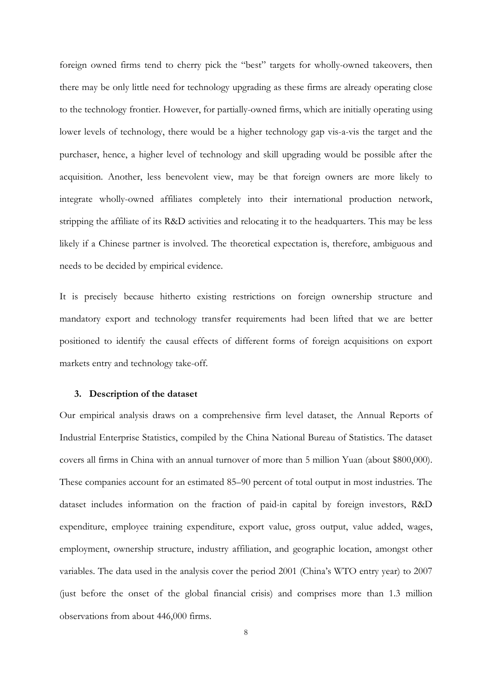foreign owned firms tend to cherry pick the "best" targets for wholly-owned takeovers, then there may be only little need for technology upgrading as these firms are already operating close to the technology frontier. However, for partially-owned firms, which are initially operating using lower levels of technology, there would be a higher technology gap vis-a-vis the target and the purchaser, hence, a higher level of technology and skill upgrading would be possible after the acquisition. Another, less benevolent view, may be that foreign owners are more likely to integrate wholly-owned affiliates completely into their international production network, stripping the affiliate of its R&D activities and relocating it to the headquarters. This may be less likely if a Chinese partner is involved. The theoretical expectation is, therefore, ambiguous and needs to be decided by empirical evidence.

It is precisely because hitherto existing restrictions on foreign ownership structure and mandatory export and technology transfer requirements had been lifted that we are better positioned to identify the causal effects of different forms of foreign acquisitions on export markets entry and technology take-off.

### **3. Description of the dataset**

Our empirical analysis draws on a comprehensive firm level dataset, the Annual Reports of Industrial Enterprise Statistics, compiled by the China National Bureau of Statistics. The dataset covers all firms in China with an annual turnover of more than 5 million Yuan (about \$800,000). These companies account for an estimated 85–90 percent of total output in most industries. The dataset includes information on the fraction of paid-in capital by foreign investors, R&D expenditure, employee training expenditure, export value, gross output, value added, wages, employment, ownership structure, industry affiliation, and geographic location, amongst other variables. The data used in the analysis cover the period 2001 (China's WTO entry year) to 2007 (just before the onset of the global financial crisis) and comprises more than 1.3 million observations from about 446,000 firms.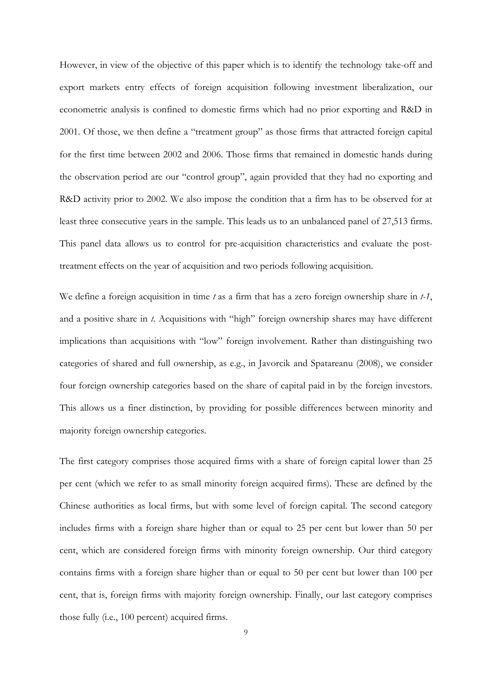However, in view of the objective of this paper which is to identify the technology take-off and export markets entry effects of foreign acquisition following investment liberalization, our econometric analysis is confined to domestic firms which had no prior exporting and R&D in 2001. Of those, we then define a "treatment group" as those firms that attracted foreign capital for the first time between 2002 and 2006. Those firms that remained in domestic hands during the observation period are our "control group", again provided that they had no exporting and R&D activity prior to 2002. We also impose the condition that a firm has to be observed for at least three consecutive years in the sample. This leads us to an unbalanced panel of 27,513 firms. This panel data allows us to control for pre-acquisition characteristics and evaluate the posttreatment effects on the year of acquisition and two periods following acquisition.

We define a foreign acquisition in time *t* as a firm that has a zero foreign ownership share in *t-1*, and a positive share in *t*. Acquisitions with "high" foreign ownership shares may have different implications than acquisitions with "low" foreign involvement. Rather than distinguishing two categories of shared and full ownership, as e.g., in Javorcik and Spatareanu (2008), we consider four foreign ownership categories based on the share of capital paid in by the foreign investors. This allows us a finer distinction, by providing for possible differences between minority and majority foreign ownership categories.

The first category comprises those acquired firms with a share of foreign capital lower than 25 per cent (which we refer to as small minority foreign acquired firms). These are defined by the Chinese authorities as local firms, but with some level of foreign capital. The second category includes firms with a foreign share higher than or equal to 25 per cent but lower than 50 per cent, which are considered foreign firms with minority foreign ownership. Our third category contains firms with a foreign share higher than or equal to 50 per cent but lower than 100 per cent, that is, foreign firms with majority foreign ownership. Finally, our last category comprises those fully (i.e., 100 percent) acquired firms.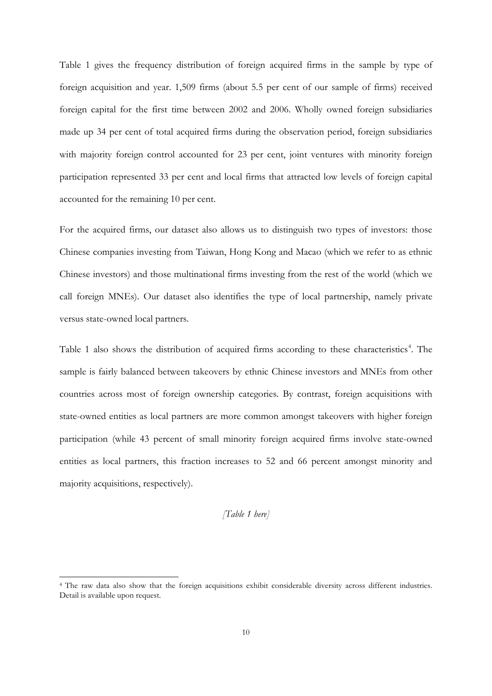Table 1 gives the frequency distribution of foreign acquired firms in the sample by type of foreign acquisition and year. 1,509 firms (about 5.5 per cent of our sample of firms) received foreign capital for the first time between 2002 and 2006. Wholly owned foreign subsidiaries made up 34 per cent of total acquired firms during the observation period, foreign subsidiaries with majority foreign control accounted for 23 per cent, joint ventures with minority foreign participation represented 33 per cent and local firms that attracted low levels of foreign capital accounted for the remaining 10 per cent.

For the acquired firms, our dataset also allows us to distinguish two types of investors: those Chinese companies investing from Taiwan, Hong Kong and Macao (which we refer to as ethnic Chinese investors) and those multinational firms investing from the rest of the world (which we call foreign MNEs). Our dataset also identifies the type of local partnership, namely private versus state-owned local partners.

Table 1 also shows the distribution of acquired firms according to these characteristics<sup>[4](#page-6-0)</sup>. The sample is fairly balanced between takeovers by ethnic Chinese investors and MNEs from other countries across most of foreign ownership categories. By contrast, foreign acquisitions with state-owned entities as local partners are more common amongst takeovers with higher foreign participation (while 43 percent of small minority foreign acquired firms involve state-owned entities as local partners, this fraction increases to 52 and 66 percent amongst minority and majority acquisitions, respectively).

### *[Table 1 here]*

-

<span id="page-11-0"></span><sup>4</sup> The raw data also show that the foreign acquisitions exhibit considerable diversity across different industries. Detail is available upon request.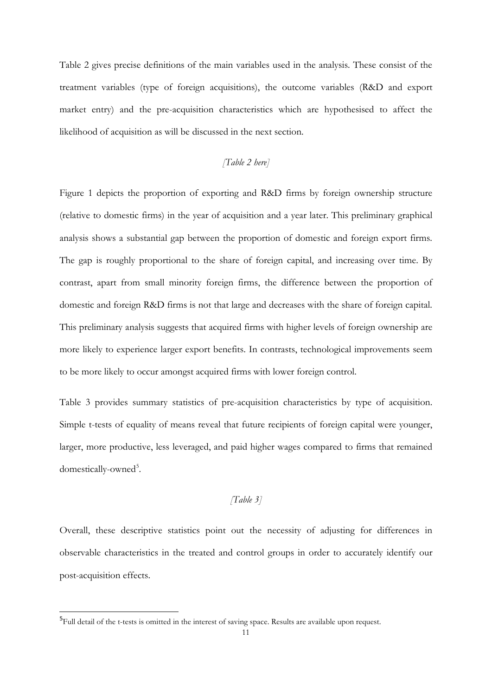Table 2 gives precise definitions of the main variables used in the analysis. These consist of the treatment variables (type of foreign acquisitions), the outcome variables (R&D and export market entry) and the pre-acquisition characteristics which are hypothesised to affect the likelihood of acquisition as will be discussed in the next section.

### *[Table 2 here]*

Figure 1 depicts the proportion of exporting and R&D firms by foreign ownership structure (relative to domestic firms) in the year of acquisition and a year later. This preliminary graphical analysis shows a substantial gap between the proportion of domestic and foreign export firms. The gap is roughly proportional to the share of foreign capital, and increasing over time. By contrast, apart from small minority foreign firms, the difference between the proportion of domestic and foreign R&D firms is not that large and decreases with the share of foreign capital. This preliminary analysis suggests that acquired firms with higher levels of foreign ownership are more likely to experience larger export benefits. In contrasts, technological improvements seem to be more likely to occur amongst acquired firms with lower foreign control.

Table 3 provides summary statistics of pre-acquisition characteristics by type of acquisition. Simple t-tests of equality of means reveal that future recipients of foreign capital were younger, larger, more productive, less leveraged, and paid higher wages compared to firms that remained domestically-owned<sup>[5](#page-11-0)</sup>.

### *[Table 3]*

<span id="page-12-0"></span>Overall, these descriptive statistics point out the necessity of adjusting for differences in observable characteristics in the treated and control groups in order to accurately identify our post-acquisition effects.

<sup>–&</sup>lt;br><sup>5</sup>Full detail of the t-tests is omitted in the interest of saving space. Results are available upon request.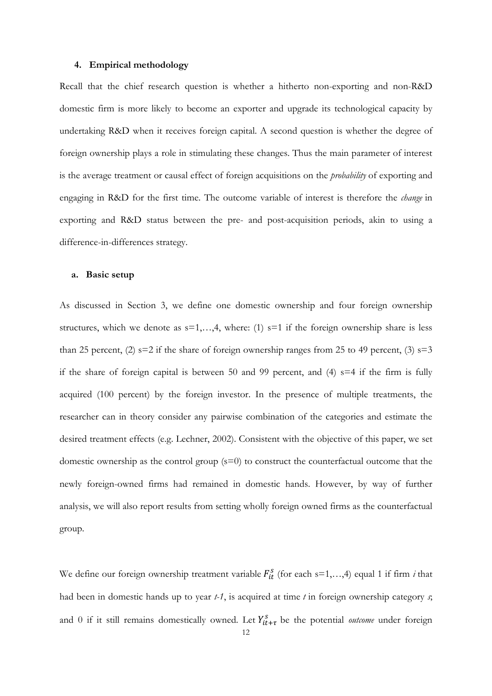#### **4. Empirical methodology**

Recall that the chief research question is whether a hitherto non-exporting and non-R&D domestic firm is more likely to become an exporter and upgrade its technological capacity by undertaking R&D when it receives foreign capital. A second question is whether the degree of foreign ownership plays a role in stimulating these changes. Thus the main parameter of interest is the average treatment or causal effect of foreign acquisitions on the *probability* of exporting and engaging in R&D for the first time. The outcome variable of interest is therefore the *change* in exporting and R&D status between the pre- and post-acquisition periods, akin to using a difference-in-differences strategy.

#### **a. Basic setup**

As discussed in Section 3, we define one domestic ownership and four foreign ownership structures, which we denote as  $s=1,...,4$ , where: (1)  $s=1$  if the foreign ownership share is less than 25 percent, (2)  $s=2$  if the share of foreign ownership ranges from 25 to 49 percent, (3)  $s=3$ if the share of foreign capital is between 50 and 99 percent, and (4)  $s=4$  if the firm is fully acquired (100 percent) by the foreign investor. In the presence of multiple treatments, the researcher can in theory consider any pairwise combination of the categories and estimate the desired treatment effects (e.g. Lechner, 2002). Consistent with the objective of this paper, we set domestic ownership as the control group (s=0) to construct the counterfactual outcome that the newly foreign-owned firms had remained in domestic hands. However, by way of further analysis, we will also report results from setting wholly foreign owned firms as the counterfactual group.

We define our foreign ownership treatment variable  $F_{it}^s$  (for each  $s=1,...,4$ ) equal 1 if firm *i* that had been in domestic hands up to year *t-1*, is acquired at time *t* in foreign ownership category *s*; and 0 if it still remains domestically owned. Let  $Y_{it+\tau}^s$  be the potential *outcome* under foreign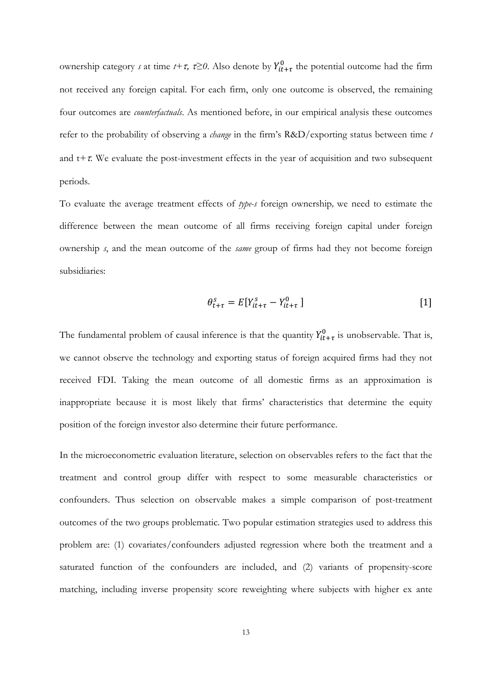ownership category *s* at time  $t+\tau$ ,  $\tau \ge 0$ . Also denote by  $Y_{it+\tau}^0$  the potential outcome had the firm not received any foreign capital. For each firm, only one outcome is observed, the remaining four outcomes are *counterfactuals*. As mentioned before, in our empirical analysis these outcomes refer to the probability of observing a *change* in the firm's R&D/exporting status between time *t* and t*+*τ. We evaluate the post-investment effects in the year of acquisition and two subsequent periods.

To evaluate the average treatment effects of *type-s* foreign ownership*,* we need to estimate the difference between the mean outcome of all firms receiving foreign capital under foreign ownership *s*, and the mean outcome of the *same* group of firms had they not become foreign subsidiaries:

$$
\theta_{t+\tau}^s = E[Y_{it+\tau}^s - Y_{it+\tau}^0] \tag{1}
$$

The fundamental problem of causal inference is that the quantity  $Y_{it+\tau}^0$  is unobservable. That is, we cannot observe the technology and exporting status of foreign acquired firms had they not received FDI. Taking the mean outcome of all domestic firms as an approximation is inappropriate because it is most likely that firms' characteristics that determine the equity position of the foreign investor also determine their future performance.

In the microeconometric evaluation literature, selection on observables refers to the fact that the treatment and control group differ with respect to some measurable characteristics or confounders. Thus selection on observable makes a simple comparison of post-treatment outcomes of the two groups problematic. Two popular estimation strategies used to address this problem are: (1) covariates/confounders adjusted regression where both the treatment and a saturated function of the confounders are included, and (2) variants of propensity-score matching, including inverse propensity score reweighting where subjects with higher ex ante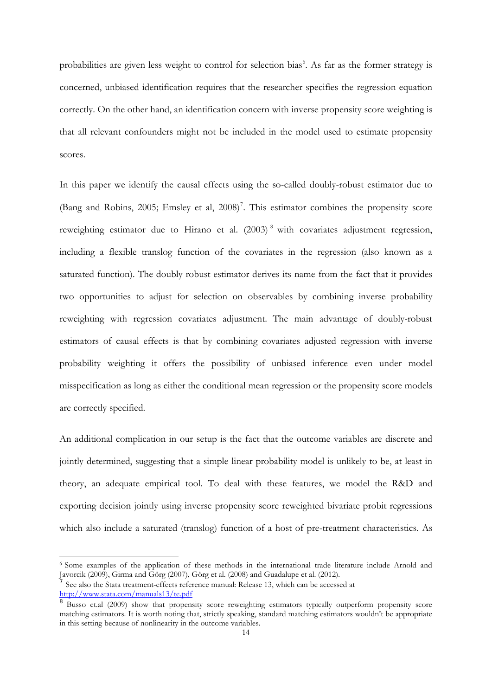probabilities are given less weight to control for selection bias<sup>[6](#page-12-0)</sup>. As far as the former strategy is concerned, unbiased identification requires that the researcher specifies the regression equation correctly. On the other hand, an identification concern with inverse propensity score weighting is that all relevant confounders might not be included in the model used to estimate propensity scores.

In this paper we identify the causal effects using the so-called doubly-robust estimator due to (Bang and Robins, 2005; Emsley et al, 2008) [7](#page-15-0) . This estimator combines the propensity score reweighting estimator due to Hirano et al. (2003)<sup>[8](#page-15-1)</sup> with covariates adjustment regression, including a flexible translog function of the covariates in the regression (also known as a saturated function). The doubly robust estimator derives its name from the fact that it provides two opportunities to adjust for selection on observables by combining inverse probability reweighting with regression covariates adjustment. The main advantage of doubly-robust estimators of causal effects is that by combining covariates adjusted regression with inverse probability weighting it offers the possibility of unbiased inference even under model misspecification as long as either the conditional mean regression or the propensity score models are correctly specified.

An additional complication in our setup is the fact that the outcome variables are discrete and jointly determined, suggesting that a simple linear probability model is unlikely to be, at least in theory, an adequate empirical tool. To deal with these features, we model the R&D and exporting decision jointly using inverse propensity score reweighted bivariate probit regressions which also include a saturated (translog) function of a host of pre-treatment characteristics. As

-

<sup>6</sup> Some examples of the application of these methods in the international trade literature include Arnold and Javorcik (2009), Girma and Görg (2007), Görg et al. (2008) and Guadalupe et al. (2012).

<span id="page-15-2"></span><span id="page-15-0"></span><sup>7</sup> See also the Stata treatment-effects reference manual: Release 13, which can be accessed at <http://www.stata.com/manuals13/te.pdf>

<span id="page-15-1"></span><sup>&</sup>lt;sup>8</sup> Busso et.al (2009) show that propensity score reweighting estimators typically outperform propensity score matching estimators. It is worth noting that, strictly speaking, standard matching estimators wouldn't be appropriate in this setting because of nonlinearity in the outcome variables.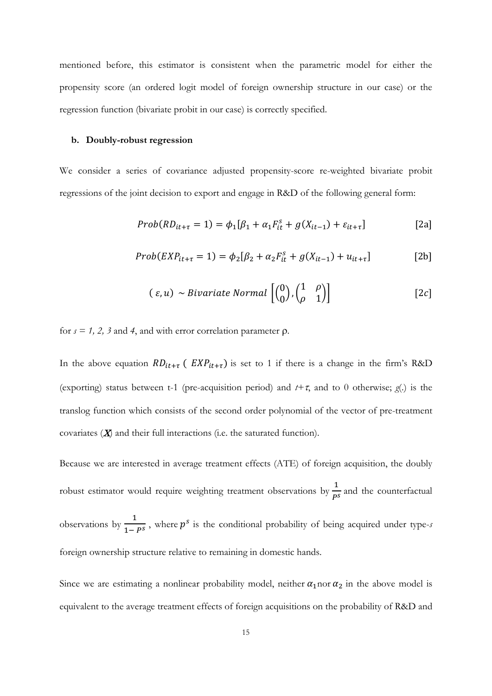mentioned before, this estimator is consistent when the parametric model for either the propensity score (an ordered logit model of foreign ownership structure in our case) or the regression function (bivariate probit in our case) is correctly specified.

### **b. Doubly-robust regression**

We consider a series of covariance adjusted propensity-score re-weighted bivariate probit regressions of the joint decision to export and engage in R&D of the following general form:

$$
Prob(RD_{it+\tau} = 1) = \phi_1[\beta_1 + \alpha_1 F_{it}^s + g(X_{it-1}) + \varepsilon_{it+\tau}]
$$
\n[2a]

$$
Prob(EXP_{it+\tau} = 1) = \phi_2[\beta_2 + \alpha_2 F_{it}^s + g(X_{it-1}) + u_{it+\tau}]
$$
 [2b]

$$
(\varepsilon, u) \sim Bivariate \, Normal \, \left[ \begin{pmatrix} 0 \\ 0 \end{pmatrix}, \begin{pmatrix} 1 & \rho \\ \rho & 1 \end{pmatrix} \right] \tag{2c}
$$

for  $s = 1, 2, 3$  and 4, and with error correlation parameter  $\rho$ .

In the above equation  $RD_{it+\tau}$  (  $EXP_{it+\tau}$ ) is set to 1 if there is a change in the firm's R&D (exporting) status between t-1 (pre-acquisition period) and *t+*τ, and to 0 otherwise; *g*(.) is the translog function which consists of the second order polynomial of the vector of pre-treatment covariates  $(X)$  and their full interactions (i.e. the saturated function).

Because we are interested in average treatment effects (ATE) of foreign acquisition, the doubly robust estimator would require weighting treatment observations by  $\frac{1}{P^s}$  and the counterfactual observations by  $\frac{1}{1-P^s}$ , where  $p^s$  is the conditional probability of being acquired under type-*s* foreign ownership structure relative to remaining in domestic hands.

Since we are estimating a nonlinear probability model, neither  $\alpha_1$  nor  $\alpha_2$  in the above model is equivalent to the average treatment effects of foreign acquisitions on the probability of R&D and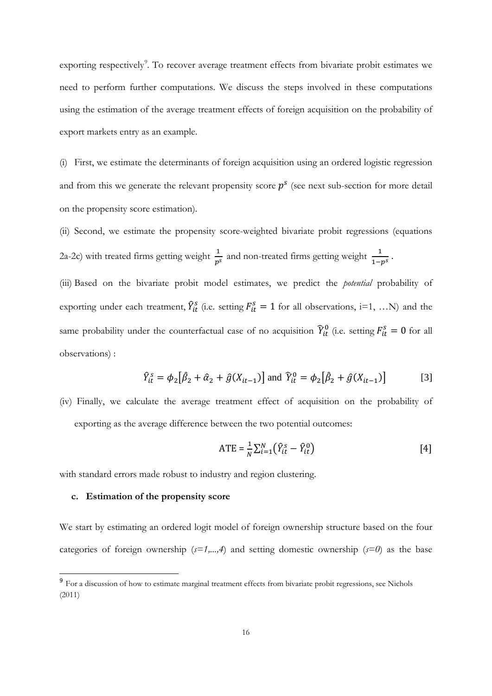exporting respectively<sup>[9](#page-15-2)</sup>. To recover average treatment effects from bivariate probit estimates we need to perform further computations. We discuss the steps involved in these computations using the estimation of the average treatment effects of foreign acquisition on the probability of export markets entry as an example.

(i) First, we estimate the determinants of foreign acquisition using an ordered logistic regression and from this we generate the relevant propensity score  $p<sup>s</sup>$  (see next sub-section for more detail on the propensity score estimation).

(ii) Second, we estimate the propensity score-weighted bivariate probit regressions (equations 2a-2c) with treated firms getting weight  $\frac{1}{p^s}$  and non-treated firms getting weight  $\frac{1}{1-p^s}$ .

(iii) Based on the bivariate probit model estimates, we predict the *potential* probability of exporting under each treatment,  $\hat{Y}_{it}^s$  (i.e. setting  $F_{it}^s = 1$  for all observations, i=1, ...N) and the same probability under the counterfactual case of no acquisition  $\hat{Y}_{tt}^0$  (i.e. setting  $F_{tt}^s = 0$  for all observations) :

$$
\hat{Y}_{it}^{s} = \phi_{2} [\hat{\beta}_{2} + \hat{\alpha}_{2} + \hat{g}(X_{it-1})] \text{ and } \hat{Y}_{it}^{0} = \phi_{2} [\hat{\beta}_{2} + \hat{g}(X_{it-1})]
$$
 [3]

(iv) Finally, we calculate the average treatment effect of acquisition on the probability of exporting as the average difference between the two potential outcomes:

$$
ATE = \frac{1}{N} \sum_{i=1}^{N} (\hat{Y}_{it}^{s} - \hat{Y}_{it}^{0})
$$
 [4]

with standard errors made robust to industry and region clustering.

### **c. Estimation of the propensity score**

We start by estimating an ordered logit model of foreign ownership structure based on the four categories of foreign ownership  $(s=1,...,4)$  and setting domestic ownership  $(s=0)$  as the base

<span id="page-17-0"></span><sup>&</sup>lt;sup>9</sup> For a discussion of how to estimate marginal treatment effects from bivariate probit regressions, see Nichols (2011)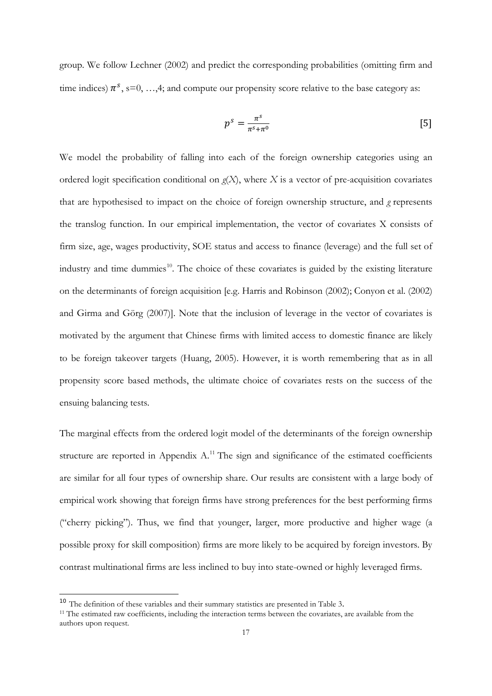group. We follow Lechner (2002) and predict the corresponding probabilities (omitting firm and time indices)  $\pi^s$ , s=0, …,4; and compute our propensity score relative to the base category as:

$$
p^s = \frac{\pi^s}{\pi^s + \pi^0} \tag{5}
$$

We model the probability of falling into each of the foreign ownership categories using an ordered logit specification conditional on *g*(*X*), where *X* is a vector of pre-acquisition covariates that are hypothesised to impact on the choice of foreign ownership structure, and *g* represents the translog function. In our empirical implementation, the vector of covariates X consists of firm size, age, wages productivity, SOE status and access to finance (leverage) and the full set of industry and time dummies $10$ . The choice of these covariates is guided by the existing literature on the determinants of foreign acquisition [e.g. Harris and Robinson (2002); Conyon et al. (2002) and Girma and Görg (2007)]. Note that the inclusion of leverage in the vector of covariates is motivated by the argument that Chinese firms with limited access to domestic finance are likely to be foreign takeover targets (Huang, 2005). However, it is worth remembering that as in all propensity score based methods, the ultimate choice of covariates rests on the success of the ensuing balancing tests.

The marginal effects from the ordered logit model of the determinants of the foreign ownership structure are reported in Appendix  $A$ .<sup>[11](#page-18-0)</sup> The sign and significance of the estimated coefficients are similar for all four types of ownership share. Our results are consistent with a large body of empirical work showing that foreign firms have strong preferences for the best performing firms ("cherry picking"). Thus, we find that younger, larger, more productive and higher wage (a possible proxy for skill composition) firms are more likely to be acquired by foreign investors. By contrast multinational firms are less inclined to buy into state-owned or highly leveraged firms.

<span id="page-18-1"></span><span id="page-18-0"></span><sup>&</sup>lt;sup>10</sup> The definition of these variables and their summary statistics are presented in Table 3.<br><sup>11</sup> The estimated raw coefficients, including the interaction terms between the covariates, are available from the authors upon request.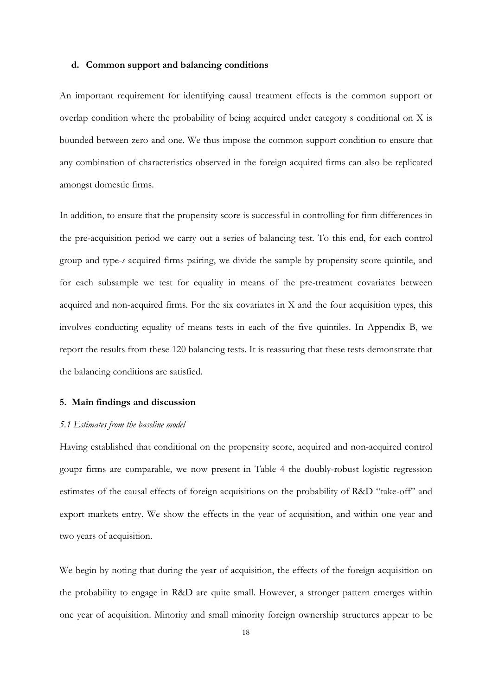#### **d. Common support and balancing conditions**

An important requirement for identifying causal treatment effects is the common support or overlap condition where the probability of being acquired under category s conditional on X is bounded between zero and one. We thus impose the common support condition to ensure that any combination of characteristics observed in the foreign acquired firms can also be replicated amongst domestic firms.

In addition, to ensure that the propensity score is successful in controlling for firm differences in the pre-acquisition period we carry out a series of balancing test. To this end, for each control group and type-*s* acquired firms pairing, we divide the sample by propensity score quintile, and for each subsample we test for equality in means of the pre-treatment covariates between acquired and non-acquired firms. For the six covariates in X and the four acquisition types, this involves conducting equality of means tests in each of the five quintiles. In Appendix B, we report the results from these 120 balancing tests. It is reassuring that these tests demonstrate that the balancing conditions are satisfied.

### **5. Main findings and discussion**

#### *5.1 Estimates from the baseline model*

Having established that conditional on the propensity score, acquired and non-acquired control goupr firms are comparable, we now present in Table 4 the doubly-robust logistic regression estimates of the causal effects of foreign acquisitions on the probability of R&D "take-off" and export markets entry. We show the effects in the year of acquisition, and within one year and two years of acquisition.

We begin by noting that during the year of acquisition, the effects of the foreign acquisition on the probability to engage in R&D are quite small. However, a stronger pattern emerges within one year of acquisition. Minority and small minority foreign ownership structures appear to be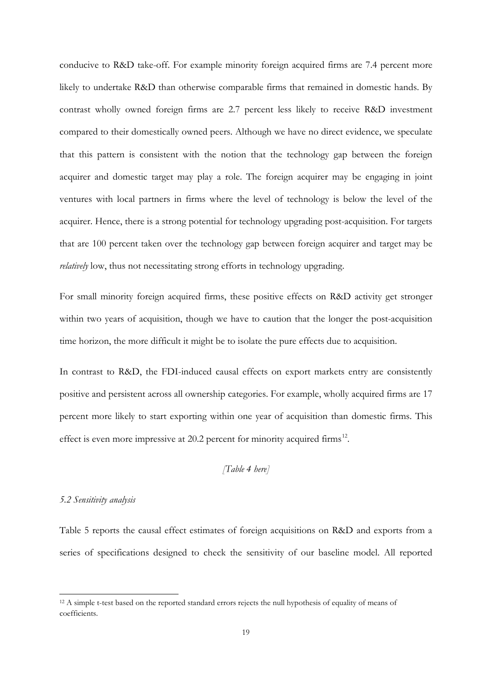conducive to R&D take-off. For example minority foreign acquired firms are 7.4 percent more likely to undertake R&D than otherwise comparable firms that remained in domestic hands. By contrast wholly owned foreign firms are 2.7 percent less likely to receive R&D investment compared to their domestically owned peers. Although we have no direct evidence, we speculate that this pattern is consistent with the notion that the technology gap between the foreign acquirer and domestic target may play a role. The foreign acquirer may be engaging in joint ventures with local partners in firms where the level of technology is below the level of the acquirer. Hence, there is a strong potential for technology upgrading post-acquisition. For targets that are 100 percent taken over the technology gap between foreign acquirer and target may be *relatively* low, thus not necessitating strong efforts in technology upgrading.

For small minority foreign acquired firms, these positive effects on R&D activity get stronger within two years of acquisition, though we have to caution that the longer the post-acquisition time horizon, the more difficult it might be to isolate the pure effects due to acquisition.

In contrast to R&D, the FDI-induced causal effects on export markets entry are consistently positive and persistent across all ownership categories. For example, wholly acquired firms are 17 percent more likely to start exporting within one year of acquisition than domestic firms. This effect is even more impressive at 20.2 percent for minority acquired firms<sup>[12](#page-18-1)</sup>.

### *[Table 4 here]*

### *5.2 Sensitivity analysis*

-

Table 5 reports the causal effect estimates of foreign acquisitions on R&D and exports from a series of specifications designed to check the sensitivity of our baseline model. All reported

<span id="page-20-0"></span><sup>12</sup> A simple t-test based on the reported standard errors rejects the null hypothesis of equality of means of coefficients.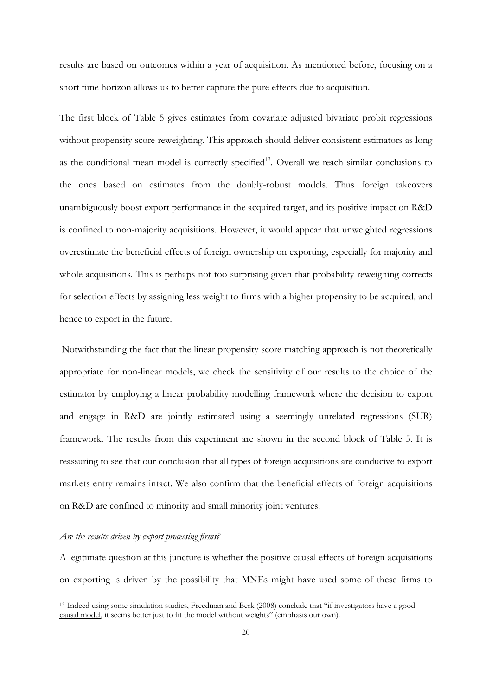results are based on outcomes within a year of acquisition. As mentioned before, focusing on a short time horizon allows us to better capture the pure effects due to acquisition.

The first block of Table 5 gives estimates from covariate adjusted bivariate probit regressions without propensity score reweighting. This approach should deliver consistent estimators as long as the conditional mean model is correctly specified<sup>13</sup>. Overall we reach similar conclusions to the ones based on estimates from the doubly-robust models. Thus foreign takeovers unambiguously boost export performance in the acquired target, and its positive impact on R&D is confined to non-majority acquisitions. However, it would appear that unweighted regressions overestimate the beneficial effects of foreign ownership on exporting, especially for majority and whole acquisitions. This is perhaps not too surprising given that probability reweighing corrects for selection effects by assigning less weight to firms with a higher propensity to be acquired, and hence to export in the future.

Notwithstanding the fact that the linear propensity score matching approach is not theoretically appropriate for non-linear models, we check the sensitivity of our results to the choice of the estimator by employing a linear probability modelling framework where the decision to export and engage in R&D are jointly estimated using a seemingly unrelated regressions (SUR) framework. The results from this experiment are shown in the second block of Table 5. It is reassuring to see that our conclusion that all types of foreign acquisitions are conducive to export markets entry remains intact. We also confirm that the beneficial effects of foreign acquisitions on R&D are confined to minority and small minority joint ventures.

#### *Are the results driven by export processing firms?*

-

A legitimate question at this juncture is whether the positive causal effects of foreign acquisitions on exporting is driven by the possibility that MNEs might have used some of these firms to

<span id="page-21-0"></span><sup>13</sup> Indeed using some simulation studies, Freedman and Berk (2008) conclude that "if investigators have a good causal model, it seems better just to fit the model without weights" (emphasis our own).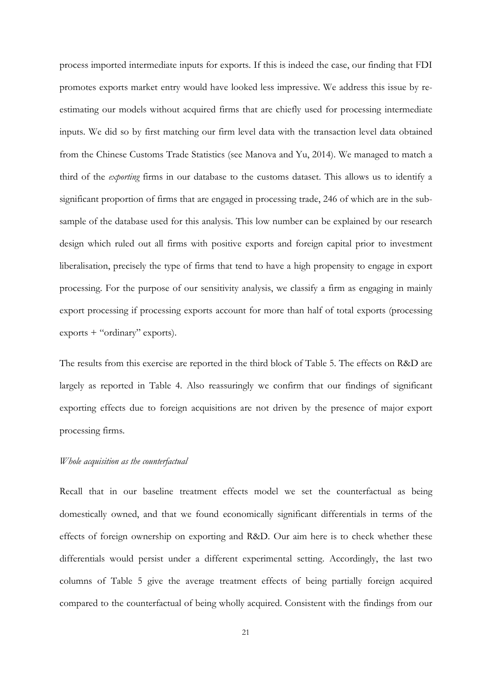process imported intermediate inputs for exports. If this is indeed the case, our finding that FDI promotes exports market entry would have looked less impressive. We address this issue by reestimating our models without acquired firms that are chiefly used for processing intermediate inputs. We did so by first matching our firm level data with the transaction level data obtained from the Chinese Customs Trade Statistics (see Manova and Yu, 2014). We managed to match a third of the *exporting* firms in our database to the customs dataset. This allows us to identify a significant proportion of firms that are engaged in processing trade, 246 of which are in the subsample of the database used for this analysis. This low number can be explained by our research design which ruled out all firms with positive exports and foreign capital prior to investment liberalisation, precisely the type of firms that tend to have a high propensity to engage in export processing. For the purpose of our sensitivity analysis, we classify a firm as engaging in mainly export processing if processing exports account for more than half of total exports (processing exports + "ordinary" exports).

The results from this exercise are reported in the third block of Table 5. The effects on R&D are largely as reported in Table 4. Also reassuringly we confirm that our findings of significant exporting effects due to foreign acquisitions are not driven by the presence of major export processing firms.

### *Whole acquisition as the counterfactual*

Recall that in our baseline treatment effects model we set the counterfactual as being domestically owned, and that we found economically significant differentials in terms of the effects of foreign ownership on exporting and R&D. Our aim here is to check whether these differentials would persist under a different experimental setting. Accordingly, the last two columns of Table 5 give the average treatment effects of being partially foreign acquired compared to the counterfactual of being wholly acquired. Consistent with the findings from our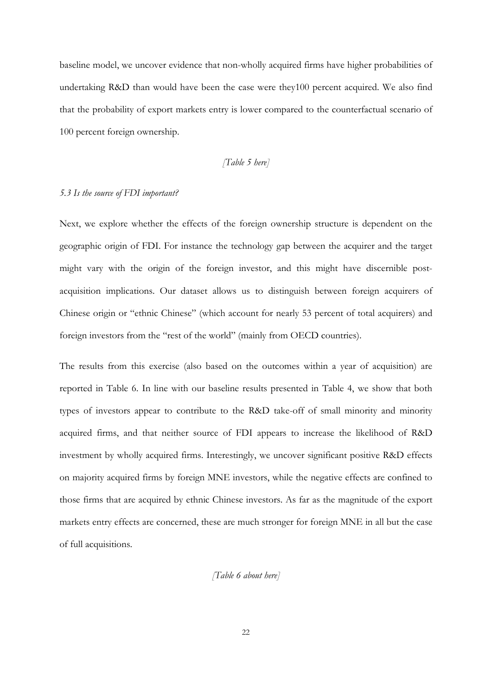baseline model, we uncover evidence that non-wholly acquired firms have higher probabilities of undertaking R&D than would have been the case were they100 percent acquired. We also find that the probability of export markets entry is lower compared to the counterfactual scenario of 100 percent foreign ownership.

### *[Table 5 here]*

#### *5.3 Is the source of FDI important?*

Next, we explore whether the effects of the foreign ownership structure is dependent on the geographic origin of FDI. For instance the technology gap between the acquirer and the target might vary with the origin of the foreign investor, and this might have discernible postacquisition implications. Our dataset allows us to distinguish between foreign acquirers of Chinese origin or "ethnic Chinese" (which account for nearly 53 percent of total acquirers) and foreign investors from the "rest of the world" (mainly from OECD countries).

The results from this exercise (also based on the outcomes within a year of acquisition) are reported in Table 6. In line with our baseline results presented in Table 4, we show that both types of investors appear to contribute to the R&D take-off of small minority and minority acquired firms, and that neither source of FDI appears to increase the likelihood of R&D investment by wholly acquired firms. Interestingly, we uncover significant positive R&D effects on majority acquired firms by foreign MNE investors, while the negative effects are confined to those firms that are acquired by ethnic Chinese investors. As far as the magnitude of the export markets entry effects are concerned, these are much stronger for foreign MNE in all but the case of full acquisitions.

### *[Table 6 about here]*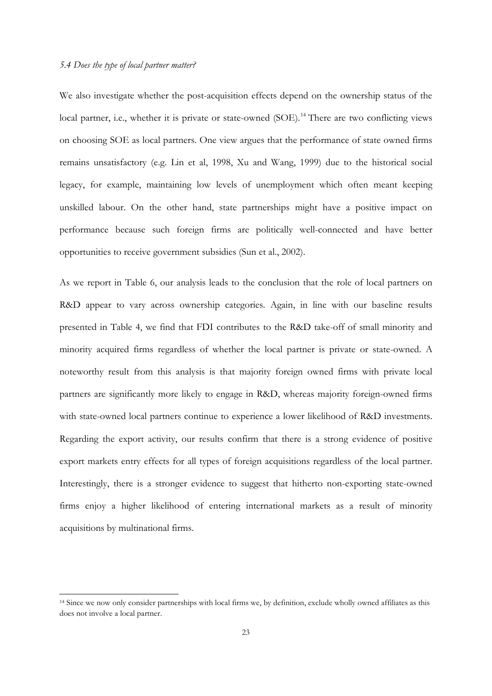<span id="page-24-0"></span>-

We also investigate whether the post-acquisition effects depend on the ownership status of the local partner, i.e., whether it is private or state-owned (SOE).<sup>[14](#page-21-0)</sup> There are two conflicting views on choosing SOE as local partners. One view argues that the performance of state owned firms remains unsatisfactory (e.g. Lin et al, 1998, Xu and Wang, 1999) due to the historical social legacy, for example, maintaining low levels of unemployment which often meant keeping unskilled labour. On the other hand, state partnerships might have a positive impact on performance because such foreign firms are politically well-connected and have better opportunities to receive government subsidies (Sun et al., 2002).

As we report in Table 6, our analysis leads to the conclusion that the role of local partners on R&D appear to vary across ownership categories. Again, in line with our baseline results presented in Table 4, we find that FDI contributes to the R&D take-off of small minority and minority acquired firms regardless of whether the local partner is private or state-owned. A noteworthy result from this analysis is that majority foreign owned firms with private local partners are significantly more likely to engage in R&D, whereas majority foreign-owned firms with state-owned local partners continue to experience a lower likelihood of R&D investments. Regarding the export activity, our results confirm that there is a strong evidence of positive export markets entry effects for all types of foreign acquisitions regardless of the local partner. Interestingly, there is a stronger evidence to suggest that hitherto non-exporting state-owned firms enjoy a higher likelihood of entering international markets as a result of minority acquisitions by multinational firms.

<sup>14</sup> Since we now only consider partnerships with local firms we, by definition, exclude wholly owned affiliates as this does not involve a local partner.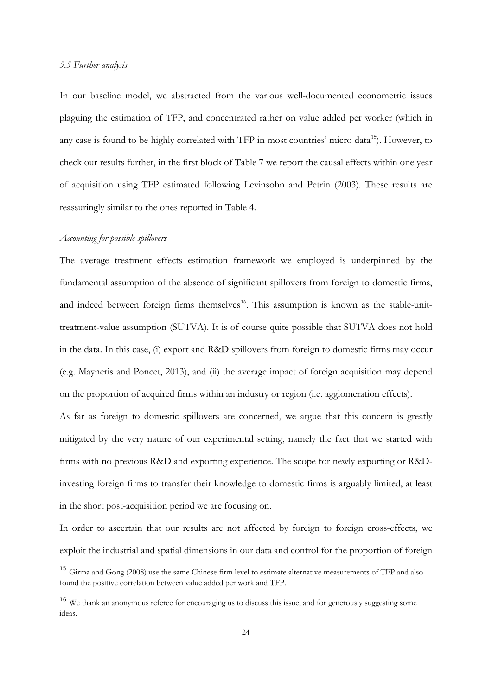#### *5.5 Further analysis*

In our baseline model, we abstracted from the various well-documented econometric issues plaguing the estimation of TFP, and concentrated rather on value added per worker (which in any case is found to be highly correlated with TFP in most countries' micro data<sup>15</sup>). However, to check our results further, in the first block of Table 7 we report the causal effects within one year of acquisition using TFP estimated following Levinsohn and Petrin (2003). These results are reassuringly similar to the ones reported in Table 4.

#### *Accounting for possible spillovers*

The average treatment effects estimation framework we employed is underpinned by the fundamental assumption of the absence of significant spillovers from foreign to domestic firms, and indeed between foreign firms themselves<sup>[16](#page-25-1)</sup>. This assumption is known as the stable-unittreatment-value assumption (SUTVA). It is of course quite possible that SUTVA does not hold in the data. In this case, (i) export and R&D spillovers from foreign to domestic firms may occur (e.g. Mayneris and Poncet, 2013), and (ii) the average impact of foreign acquisition may depend on the proportion of acquired firms within an industry or region (i.e. agglomeration effects).

As far as foreign to domestic spillovers are concerned, we argue that this concern is greatly mitigated by the very nature of our experimental setting, namely the fact that we started with firms with no previous R&D and exporting experience. The scope for newly exporting or R&Dinvesting foreign firms to transfer their knowledge to domestic firms is arguably limited, at least in the short post-acquisition period we are focusing on.

In order to ascertain that our results are not affected by foreign to foreign cross-effects, we exploit the industrial and spatial dimensions in our data and control for the proportion of foreign

 <sup>15</sup> Girma and Gong (2008) use the same Chinese firm level to estimate alternative measurements of TFP and also found the positive correlation between value added per work and TFP.

<span id="page-25-1"></span><span id="page-25-0"></span><sup>16</sup> We thank an anonymous referee for encouraging us to discuss this issue, and for generously suggesting some ideas.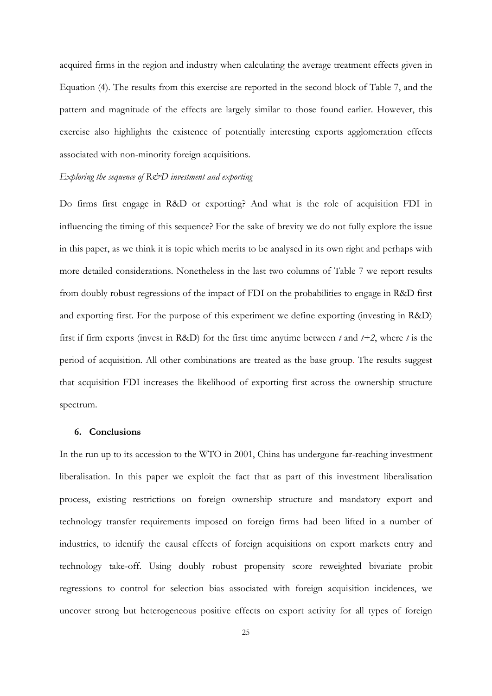acquired firms in the region and industry when calculating the average treatment effects given in Equation (4). The results from this exercise are reported in the second block of Table 7, and the pattern and magnitude of the effects are largely similar to those found earlier. However, this exercise also highlights the existence of potentially interesting exports agglomeration effects associated with non-minority foreign acquisitions.

### *Exploring the sequence of R&D investment and exporting*

Do firms first engage in R&D or exporting? And what is the role of acquisition FDI in influencing the timing of this sequence? For the sake of brevity we do not fully explore the issue in this paper, as we think it is topic which merits to be analysed in its own right and perhaps with more detailed considerations. Nonetheless in the last two columns of Table 7 we report results from doubly robust regressions of the impact of FDI on the probabilities to engage in R&D first and exporting first. For the purpose of this experiment we define exporting (investing in R&D) first if firm exports (invest in R&D) for the first time anytime between *t* and *t+2*, where *t* is the period of acquisition. All other combinations are treated as the base group. The results suggest that acquisition FDI increases the likelihood of exporting first across the ownership structure spectrum.

### **6. Conclusions**

In the run up to its accession to the WTO in 2001, China has undergone far-reaching investment liberalisation. In this paper we exploit the fact that as part of this investment liberalisation process, existing restrictions on foreign ownership structure and mandatory export and technology transfer requirements imposed on foreign firms had been lifted in a number of industries, to identify the causal effects of foreign acquisitions on export markets entry and technology take-off. Using doubly robust propensity score reweighted bivariate probit regressions to control for selection bias associated with foreign acquisition incidences, we uncover strong but heterogeneous positive effects on export activity for all types of foreign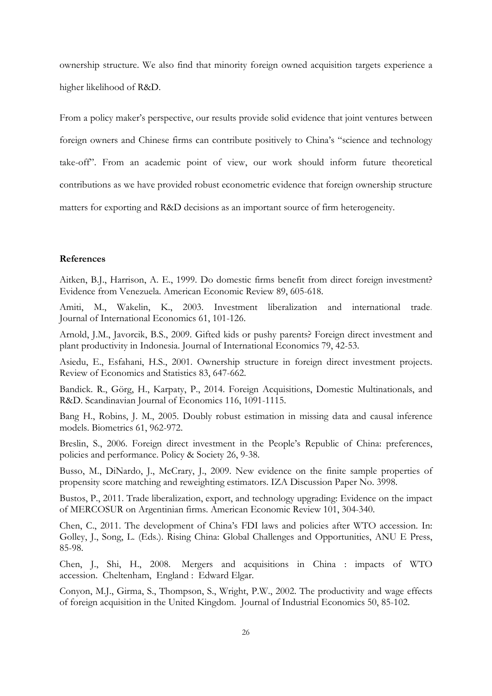ownership structure. We also find that minority foreign owned acquisition targets experience a higher likelihood of R&D.

From a policy maker's perspective, our results provide solid evidence that joint ventures between foreign owners and Chinese firms can contribute positively to China's "science and technology take-off". From an academic point of view, our work should inform future theoretical contributions as we have provided robust econometric evidence that foreign ownership structure matters for exporting and R&D decisions as an important source of firm heterogeneity.

#### **References**

Aitken, B.J., Harrison, A. E., 1999. Do domestic firms benefit from direct foreign investment? Evidence from Venezuela. American Economic Review 89, 605-618.

Amiti, M., Wakelin, K., 2003. Investment liberalization and international trade. Journal of International Economics 61, 101-126.

Arnold, J.M., Javorcik, B.S., 2009. Gifted [kids or pushy parents? Foreign direct investment and](http://www.sciencedirect.com/science?_ob=ArticleURL&_udi=B6V6D-4WCBVGW-1&_user=10&_coverDate=09%2F30%2F2009&_rdoc=4&_fmt=high&_orig=browse&_srch=doc-info%28%23toc%235812%232009%23999209998%231485194%23FLA%23display%23Volume%29&_cdi=5812&_sort=d&_docanchor=&_ct=15&_acct=C000050221&_version=1&_urlVersion=0&_userid=10&md5=686fc2b19658495d92527ac070bc754c)  [plant productivity in Indonesia.](http://www.sciencedirect.com/science?_ob=ArticleURL&_udi=B6V6D-4WCBVGW-1&_user=10&_coverDate=09%2F30%2F2009&_rdoc=4&_fmt=high&_orig=browse&_srch=doc-info%28%23toc%235812%232009%23999209998%231485194%23FLA%23display%23Volume%29&_cdi=5812&_sort=d&_docanchor=&_ct=15&_acct=C000050221&_version=1&_urlVersion=0&_userid=10&md5=686fc2b19658495d92527ac070bc754c) Journal of International Economics 79, 42-53.

Asiedu, E., Esfahani, H.S., 2001. Ownership structure in foreign direct investment projects. Review of Economics and Statistics 83, 647-662.

Bandick. R., Görg, H., Karpaty, P., 2014. [Foreign Acquisitions, Domestic Multinationals, and](http://ideas.repec.org/a/bla/scandj/v116y2014i4p1091-1115.html)  [R&D.](http://ideas.repec.org/a/bla/scandj/v116y2014i4p1091-1115.html) [Scandinavian Journal of Economics](http://ideas.repec.org/s/bla/scandj.html) 116, 1091-1115.

Bang H., Robins, J. M., 2005. Doubly robust estimation in missing data and causal inference models. Biometrics 61, 962-972.

Breslin, S., 2006. Foreign direct investment in the People's Republic of China: preferences, policies and performance. Policy & Society 26, 9-38.

Busso, M., DiNardo, J., McCrary, J., 2009. New evidence on the finite sample properties of propensity score matching and reweighting estimators. IZA Discussion Paper No. 3998.

Bustos, P., 2011. Trade liberalization, export, and technology upgrading: Evidence on the impact of MERCOSUR on Argentinian firms. American Economic Review 101, 304-340.

Chen, C., 2011. The development of China's FDI laws and policies after WTO accession. In: Golley, J., Song, L. (Eds.). Rising China: Global Challenges and Opportunities, ANU E Press, 85-98.

Chen, J., Shi, H., 2008. Mergers and acquisitions in China : impacts of WTO accession. Cheltenham, England : Edward Elgar.

Conyon, M.J., Girma, S., Thompson, S., Wright, P.W., 2002. The productivity and wage effects of foreign acquisition in the United Kingdom. Journal of Industrial Economics 50, 85-102.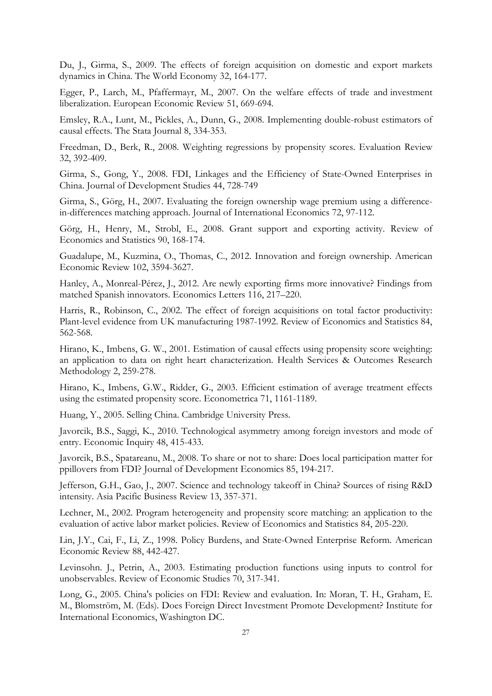Du, J., Girma, S., 2009. The effects of foreign acquisition on domestic and export markets dynamics in China. The World Economy 32, 164-177.

Egger, P., Larch, M., Pfaffermayr, M., 2007. [On the welfare effects of trade and](http://www.sciencedirect.com/science/article/pii/S0014292106000407) investment [liberalization.](http://www.sciencedirect.com/science/article/pii/S0014292106000407) European Economic Review 51, 669-694*.*

Emsley, R.A., Lunt, M., Pickles, A., Dunn, G., 2008. Implementing double-robust estimators of causal effects. The Stata Journal 8, 334-353.

Freedman, D., Berk, R., 2008. Weighting regressions by propensity scores. Evaluation Review 32, 392-409.

Girma, S., Gong, Y., 2008. FDI, Linkages and the Efficiency of State-Owned Enterprises in China. Journal of Development Studies 44, 728-749

Girma, S., Görg, H., 2007. Evaluating the foreign ownership wage premium using a differencein-differences matching approach. Journal of International Economics 72, 97-112.

Görg, H., Henry, M., Strobl, E., 2008. Grant support and exporting activity. Review of Economics and Statistics 90, 168-174.

Guadalupe, M., Kuzmina, O., Thomas, C., 2012. Innovation and foreign ownership. American Economic Review 102, 3594-3627.

Hanley, A., Monreal-Pérez, J., 2012. Are newly exporting firms more innovative? Findings from matched Spanish innovators. Economics Letters 116, 217–220.

[Harris, R.](http://eprints.gla.ac.uk/view/author/11558.html), Robinson, C., 2002. [The effect of foreign acquisitions on total factor productivity:](http://eprints.gla.ac.uk/15511/)  [Plant-level evidence from UK manufacturing 1987-1992.](http://eprints.gla.ac.uk/15511/) [Review of Economics and Statistics](http://eprints.gla.ac.uk/view/journal_volume/Review_of_Economics_and_Statistics.html) 84, 562-568.

Hirano, K., Imbens, G. W., 2001. Estimation of causal effects using propensity score weighting: an application to data on right heart characterization. Health Services & Outcomes Research Methodology 2, 259-278.

Hirano, K., Imbens, G.W., Ridder, G., 2003. Efficient estimation of average treatment effects using the estimated propensity score. Econometrica 71, 1161-1189.

Huang, Y., 2005. Selling China. Cambridge University Press.

Javorcik, B.S., Saggi, K., 2010. Technological asymmetry among foreign investors and mode of entry. Economic Inquiry 48, 415-433.

Javorcik, B.S., Spatareanu, M., 2008. To share or not [to share: Does local participation matter for](http://www.sciencedirect.com/science?_ob=ArticleURL&_udi=B6VBV-4M69JVN-1&_user=10&_rdoc=1&_fmt=&_orig=search&_sort=d&view=c&_acct=C000050221&_version=1&_urlVersion=0&_userid=10&md5=a9370f6d6278f566f4d83447d0cc62e8)  [ppillovers from FDI?](http://www.sciencedirect.com/science?_ob=ArticleURL&_udi=B6VBV-4M69JVN-1&_user=10&_rdoc=1&_fmt=&_orig=search&_sort=d&view=c&_acct=C000050221&_version=1&_urlVersion=0&_userid=10&md5=a9370f6d6278f566f4d83447d0cc62e8) Journal of Development Economics 85, 194-217.

Jefferson, G.H., Gao, J., 2007. Science and technology takeoff in China? Sources of rising R&D intensity. Asia Pacific Business Review 13, 357-371.

Lechner, M., 2002. Program heterogeneity and propensity score matching: an application to the evaluation of active labor market policies. Review of Economics and Statistics 84, 205-220.

Lin, J.Y., Cai, F., Li, Z., 1998. Policy Burdens, and State-Owned Enterprise Reform. American Economic Review 88, 442-427.

Levinsohn. J., Petrin, A., 2003. Estimating production functions using inputs to control for unobservables. Review of Economic Studies 70, 317-341.

Long, G., 2005. [China's policies on FDI: Review and evaluation.](http://www.piie.com/publications/chapters_preview/3810/12iie3810.pdf) In: [Moran,](http://www.piie.com/staff/author_bio.cfm?author_id=56) T. H., [Graham,](http://www.piie.com/staff/author_bio.cfm?author_id=54) E. M., [Blomström,](http://www.piie.com/staff/author_bio.cfm?author_id=428) M. (Eds). Does Foreign Direct Investment Promote Development? Institute for International Economics, Washington DC.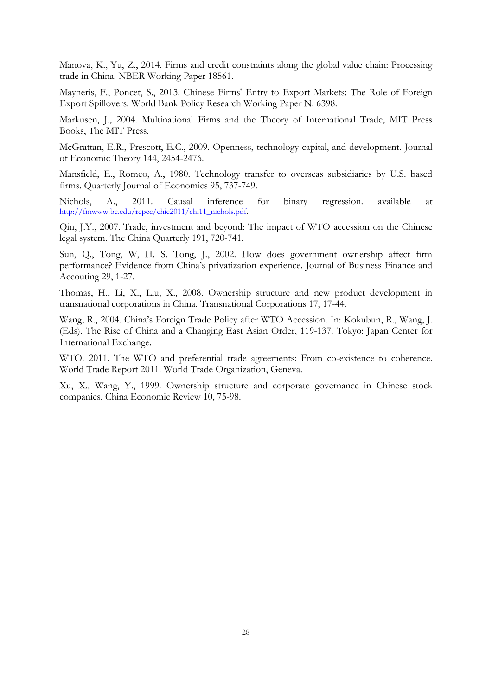Manova, K., Yu, Z., 2014. Firms and credit constraints along the global value chain: Processing trade in China. NBER Working Paper 18561.

Mayneris, F., Poncet, S., 2013. Chinese Firms' Entry to Export Markets: The Role of Foreign Export Spillovers. World Bank Policy Research Working Paper N. 6398.

Markusen, J., 2004. Multinational Firms and the Theory of International Trade, MIT Press Books, The MIT Press.

McGrattan, E.R., Prescott, E.C., 2009. Openness, technology capital, and development. Journal of Economic Theory 144, 2454-2476.

Mansfield, E., Romeo, A., 1980. Technology transfer to overseas subsidiaries by U.S. based firms. Quarterly Journal of Economics 95, 737-749.

Nichols, A., 2011. Causal inference for binary regression. available at [http://fmwww.bc.edu/repec/chic2011/chi11\\_nichols.pdf.](http://fmwww.bc.edu/repec/chic2011/chi11_nichols.pdf)

Qin, J.Y., 2007. Trade, investment and beyond: The impact of WTO accession on the Chinese legal system. The China Quarterly 191, 720-741.

Sun, Q., Tong, W, H. S. Tong, J., 2002. How does government ownership affect firm performance? Evidence from China's privatization experience. Journal of Business Finance and Accouting 29, 1-27.

Thomas, H., Li, X., Liu, X., 2008. Ownership structure and new product development in transnational corporations in China. Transnational Corporations 17, 17-44.

Wang, R., 2004. China's Foreign Trade Policy after WTO Accession. In: Kokubun, R., Wang, J. (Eds). The Rise of China and a Changing East Asian Order, 119-137. Tokyo: Japan Center for International Exchange.

WTO. 2011. The WTO and preferential trade agreements: From co-existence to coherence. World Trade Report 2011. World Trade Organization, Geneva.

Xu, X., Wang, Y., 1999. Ownership structure and corporate governance in Chinese stock companies. China Economic Review 10, 75-98.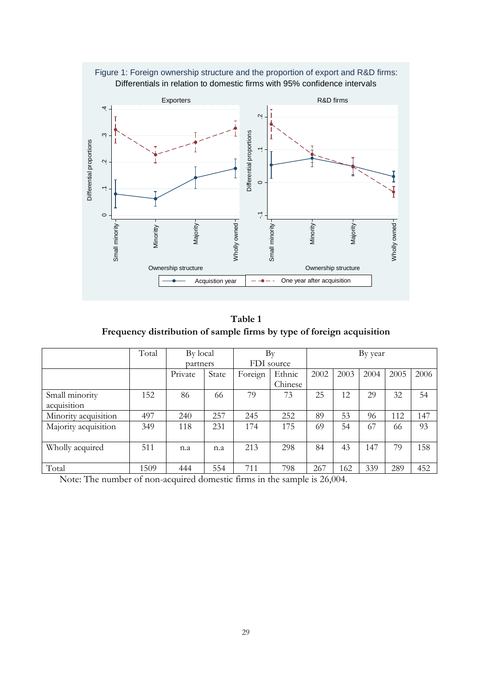

**Table 1 Frequency distribution of sample firms by type of foreign acquisition**

|                      | Total | By local |       | Bv      |            | By year |      |      |      |      |
|----------------------|-------|----------|-------|---------|------------|---------|------|------|------|------|
|                      |       | partners |       |         | FDI source |         |      |      |      |      |
|                      |       | Private  | State | Foreign | Ethnic     | 2002    | 2003 | 2004 | 2005 | 2006 |
|                      |       |          |       |         | Chinese    |         |      |      |      |      |
| Small minority       | 152   | 86       | 66    | 79      | 73         | 25      | 12   | 29   | 32   | 54   |
| acquisition          |       |          |       |         |            |         |      |      |      |      |
| Minority acquisition | 497   | 240      | 257   | 245     | 252        | 89      | 53   | 96   | 112  | 147  |
| Majority acquisition | 349   | 118      | 231   | 174     | 175        | 69      | 54   | 67   | 66   | 93   |
|                      |       |          |       |         |            |         |      |      |      |      |
| Wholly acquired      | 511   | n.a      | n.a   | 213     | 298        | 84      | 43   | 147  | 79   | 158  |
|                      |       |          |       |         |            |         |      |      |      |      |
| Total                | 1509  | 444      | 554   | 711     | 798        | 267     | 162  | 339  | 289  | 452  |

Note: The number of non-acquired domestic firms in the sample is 26,004.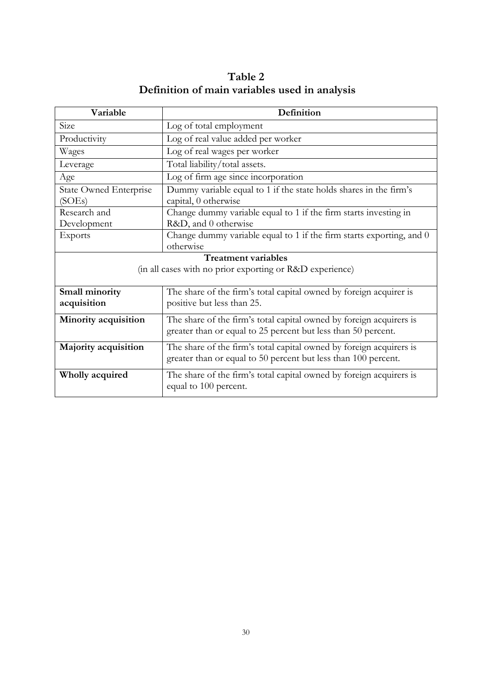| Table 2                                       |
|-----------------------------------------------|
| Definition of main variables used in analysis |

| Variable                                | Definition                                                                                                                            |  |  |  |  |  |  |
|-----------------------------------------|---------------------------------------------------------------------------------------------------------------------------------------|--|--|--|--|--|--|
| Size                                    | Log of total employment                                                                                                               |  |  |  |  |  |  |
| Productivity                            | Log of real value added per worker                                                                                                    |  |  |  |  |  |  |
| Wages                                   | Log of real wages per worker                                                                                                          |  |  |  |  |  |  |
| Leverage                                | Total liability/total assets.                                                                                                         |  |  |  |  |  |  |
| Age                                     | Log of firm age since incorporation                                                                                                   |  |  |  |  |  |  |
| <b>State Owned Enterprise</b><br>(SOEs) | Dummy variable equal to 1 if the state holds shares in the firm's<br>capital, 0 otherwise                                             |  |  |  |  |  |  |
| Research and                            | Change dummy variable equal to 1 if the firm starts investing in                                                                      |  |  |  |  |  |  |
| Development                             | R&D, and 0 otherwise                                                                                                                  |  |  |  |  |  |  |
| Exports                                 | Change dummy variable equal to 1 if the firm starts exporting, and 0                                                                  |  |  |  |  |  |  |
| otherwise                               |                                                                                                                                       |  |  |  |  |  |  |
|                                         | Treatment variables                                                                                                                   |  |  |  |  |  |  |
|                                         | (in all cases with no prior exporting or R&D experience)                                                                              |  |  |  |  |  |  |
| Small minority                          | The share of the firm's total capital owned by foreign acquirer is                                                                    |  |  |  |  |  |  |
| acquisition                             | positive but less than 25.                                                                                                            |  |  |  |  |  |  |
| Minority acquisition                    | The share of the firm's total capital owned by foreign acquirers is<br>greater than or equal to 25 percent but less than 50 percent.  |  |  |  |  |  |  |
| Majority acquisition                    | The share of the firm's total capital owned by foreign acquirers is<br>greater than or equal to 50 percent but less than 100 percent. |  |  |  |  |  |  |
| Wholly acquired                         | The share of the firm's total capital owned by foreign acquirers is<br>equal to 100 percent.                                          |  |  |  |  |  |  |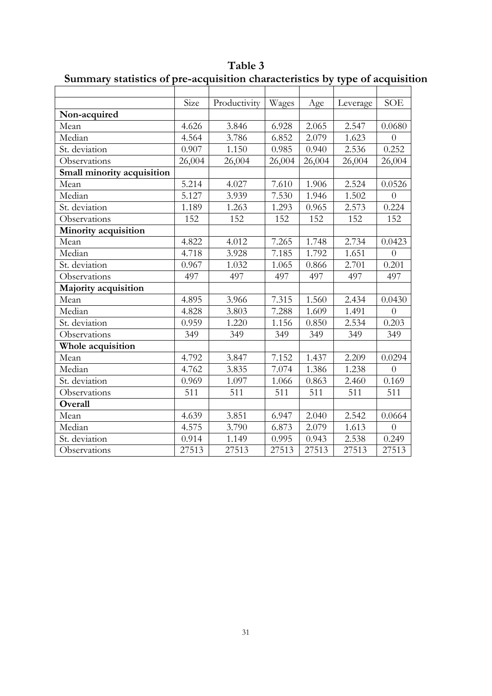|                            | Size   | Productivity | Wages  | Age    | Leverage | <b>SOE</b>     |
|----------------------------|--------|--------------|--------|--------|----------|----------------|
| Non-acquired               |        |              |        |        |          |                |
| Mean                       | 4.626  | 3.846        | 6.928  | 2.065  | 2.547    | 0.0680         |
| Median                     | 4.564  | 3.786        | 6.852  | 2.079  | 1.623    | $\overline{0}$ |
| St. deviation              | 0.907  | 1.150        | 0.985  | 0.940  | 2.536    | 0.252          |
| Observations               | 26,004 | 26,004       | 26,004 | 26,004 | 26,004   | 26,004         |
| Small minority acquisition |        |              |        |        |          |                |
| Mean                       | 5.214  | 4.027        | 7.610  | 1.906  | 2.524    | 0.0526         |
| Median                     | 5.127  | 3.939        | 7.530  | 1.946  | 1.502    | $\overline{0}$ |
| St. deviation              | 1.189  | 1.263        | 1.293  | 0.965  | 2.573    | 0.224          |
| Observations               | 152    | 152          | 152    | 152    | 152      | 152            |
| Minority acquisition       |        |              |        |        |          |                |
| Mean                       | 4.822  | 4.012        | 7.265  | 1.748  | 2.734    | 0.0423         |
| Median                     | 4.718  | 3.928        | 7.185  | 1.792  | 1.651    | $\overline{0}$ |
| St. deviation              | 0.967  | 1.032        | 1.065  | 0.866  | 2.701    | 0.201          |
| Observations               | 497    | 497          | 497    | 497    | 497      | 497            |
| Majority acquisition       |        |              |        |        |          |                |
| Mean                       | 4.895  | 3.966        | 7.315  | 1.560  | 2.434    | 0.0430         |
| Median                     | 4.828  | 3.803        | 7.288  | 1.609  | 1.491    | $\overline{0}$ |
| St. deviation              | 0.959  | 1.220        | 1.156  | 0.850  | 2.534    | 0.203          |
| Observations               | 349    | 349          | 349    | 349    | 349      | 349            |
| Whole acquisition          |        |              |        |        |          |                |
| Mean                       | 4.792  | 3.847        | 7.152  | 1.437  | 2.209    | 0.0294         |
| Median                     | 4.762  | 3.835        | 7.074  | 1.386  | 1.238    | $\overline{0}$ |
| St. deviation              | 0.969  | 1.097        | 1.066  | 0.863  | 2.460    | 0.169          |
| Observations               | 511    | 511          | 511    | 511    | 511      | 511            |
| Overall                    |        |              |        |        |          |                |
| Mean                       | 4.639  | 3.851        | 6.947  | 2.040  | 2.542    | 0.0664         |
| Median                     | 4.575  | 3.790        | 6.873  | 2.079  | 1.613    | $\overline{0}$ |
| St. deviation              | 0.914  | 1.149        | 0.995  | 0.943  | 2.538    | 0.249          |
| Observations               | 27513  | 27513        | 27513  | 27513  | 27513    | 27513          |

**Table 3 Summary statistics of pre-acquisition characteristics by type of acquisition**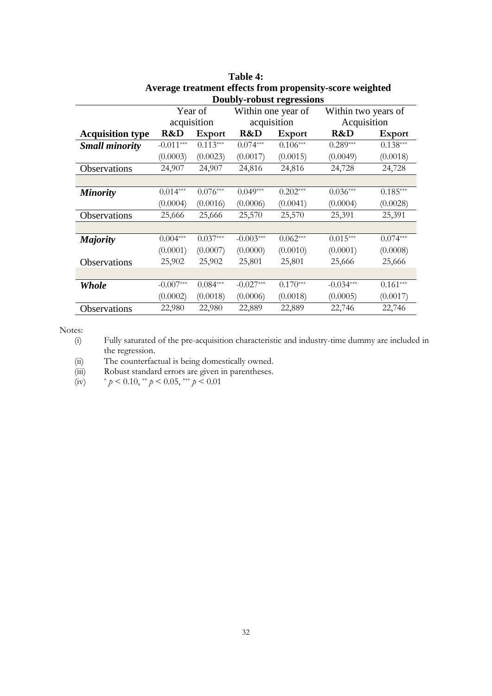|                         | <b>Doubly-robust regressions</b> |               |             |                    |                     |               |  |  |
|-------------------------|----------------------------------|---------------|-------------|--------------------|---------------------|---------------|--|--|
|                         |                                  | Year of       |             | Within one year of | Within two years of |               |  |  |
|                         |                                  | acquisition   |             | acquisition        | Acquisition         |               |  |  |
| <b>Acquisition type</b> | R&D                              | <b>Export</b> | R&D         | <b>Export</b>      | R&D                 | <b>Export</b> |  |  |
| <b>Small minority</b>   | $-0.011***$                      | $0.113***$    | $0.074***$  | $0.106***$         | $0.289***$          | $0.138***$    |  |  |
|                         | (0.0003)                         | (0.0023)      | (0.0017)    | (0.0015)           | (0.0049)            | (0.0018)      |  |  |
| Observations            | 24,907                           | 24,907        | 24,816      | 24,816             | 24,728              | 24,728        |  |  |
|                         |                                  |               |             |                    |                     |               |  |  |
| <b>Minority</b>         | $0.014***$                       | $0.076***$    | $0.049***$  | $0.202***$         | $0.036***$          | $0.185***$    |  |  |
|                         | (0.0004)                         | (0.0016)      | (0.0006)    | (0.0041)           | (0.0004)            | (0.0028)      |  |  |
| Observations            | 25,666                           | 25,666        | 25,570      | 25,570             | 25,391              | 25,391        |  |  |
|                         |                                  |               |             |                    |                     |               |  |  |
| <b>Majority</b>         | $0.004***$                       | $0.037***$    | $-0.003***$ | $0.062***$         | $0.015***$          | $0.074***$    |  |  |
|                         | (0.0001)                         | (0.0007)      | (0.0000)    | (0.0010)           | (0.0001)            | (0.0008)      |  |  |
| <b>Observations</b>     | 25,902                           | 25,902        | 25,801      | 25,801             | 25,666              | 25,666        |  |  |
|                         |                                  |               |             |                    |                     |               |  |  |
| <b>Whole</b>            | $-0.007***$                      | $0.084***$    | $-0.027***$ | $0.170***$         | $-0.034***$         | $0.161***$    |  |  |
|                         | (0.0002)                         | (0.0018)      | (0.0006)    | (0.0018)           | (0.0005)            | (0.0017)      |  |  |
| Observations            | 22,980                           | 22,980        | 22,889      | 22,889             | 22,746              | 22,746        |  |  |

**Table 4: Average treatment effects from propensity-score weighted**

(i) Fully saturated of the pre-acquisition characteristic and industry-time dummy are included in the regression.

(ii) The counterfactual is being domestically owned.

(iii) Robust standard errors are given in parentheses.<br>
(iv)  $\gamma > 0.10, \gamma > 0.05, \gamma > 0.01$ 

\*  $p < 0.10$ , \*\*  $p < 0.05$ , \*\*\*  $p < 0.01$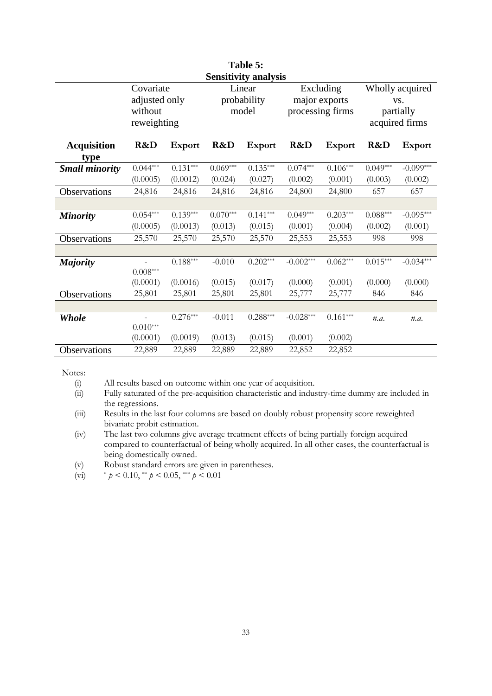| Table 5:<br><b>Sensitivity analysis</b> |                                                      |                        |            |                                |             |                                                |            |                                                       |  |  |  |
|-----------------------------------------|------------------------------------------------------|------------------------|------------|--------------------------------|-------------|------------------------------------------------|------------|-------------------------------------------------------|--|--|--|
|                                         | Covariate<br>adjusted only<br>without<br>reweighting |                        |            | Linear<br>probability<br>model |             | Excluding<br>major exports<br>processing firms |            | Wholly acquired<br>VS.<br>partially<br>acquired firms |  |  |  |
| <b>Acquisition</b><br>type              | R&D                                                  | <b>Export</b>          | R&D        | <b>Export</b>                  | R&D         | <b>Export</b>                                  | R&D        | <b>Export</b>                                         |  |  |  |
| <b>Small minority</b>                   | $0.044***$                                           | $0.131***$             | $0.069***$ | $0.135***$                     | $0.074***$  | $0.106***$                                     | $0.049***$ | $-0.099***$                                           |  |  |  |
|                                         | (0.0005)                                             | (0.0012)               | (0.024)    | (0.027)                        | (0.002)     | (0.001)                                        | (0.003)    | (0.002)                                               |  |  |  |
| Observations                            | 24,816                                               | 24,816                 | 24,816     | 24,816                         | 24,800      | 24,800                                         | 657        | 657                                                   |  |  |  |
|                                         |                                                      |                        |            |                                |             |                                                |            |                                                       |  |  |  |
| <b>Minority</b>                         | $0.054***$                                           | $0.139***$             | $0.070***$ | $0.141***$                     | $0.049***$  | $0.203***$                                     | $0.088***$ | $-0.095***$                                           |  |  |  |
|                                         | (0.0005)                                             | (0.0013)               | (0.013)    | (0.015)                        | (0.001)     | (0.004)                                        | (0.002)    | (0.001)                                               |  |  |  |
| Observations                            | 25,570                                               | 25,570                 | 25,570     | 25,570                         | 25,553      | 25,553                                         | 998        | 998                                                   |  |  |  |
|                                         |                                                      |                        |            |                                |             |                                                |            |                                                       |  |  |  |
| <b>Majority</b>                         | $0.008^{\ast\ast\ast}$                               | $0.188^{\ast\ast\ast}$ | $-0.010$   | $0.202***$                     | $-0.002***$ | $0.062***$                                     | $0.015***$ | $-0.034***$                                           |  |  |  |
|                                         | (0.0001)                                             | (0.0016)               | (0.015)    | (0.017)                        | (0.000)     | (0.001)                                        | (0.000)    | (0.000)                                               |  |  |  |
| Observations                            | 25,801                                               | 25,801                 | 25,801     | 25,801                         | 25,777      | 25,777                                         | 846        | 846                                                   |  |  |  |
|                                         |                                                      |                        |            |                                |             |                                                |            |                                                       |  |  |  |
| <b>Whole</b>                            | $0.010***$                                           | $0.276***$             | $-0.011$   | $0.288***$                     | $-0.028***$ | $0.161***$                                     | n.a.       | n.a.                                                  |  |  |  |
|                                         | (0.0001)                                             | (0.0019)               | (0.013)    | (0.015)                        | (0.001)     | (0.002)                                        |            |                                                       |  |  |  |
| Observations                            | 22,889                                               | 22,889                 | 22,889     | 22,889                         | 22,852      | 22,852                                         |            |                                                       |  |  |  |

(i) All results based on outcome within one year of acquisition.<br>
(ii) Fully saturated of the pre-acquisition characteristic and indus Fully saturated of the pre-acquisition characteristic and industry-time dummy are included in the regressions.

(iii) Results in the last four columns are based on doubly robust propensity score reweighted bivariate probit estimation.

(iv) The last two columns give average treatment effects of being partially foreign acquired compared to counterfactual of being wholly acquired. In all other cases, the counterfactual is being domestically owned.

(v) Robust standard errors are given in parentheses.<br>
(vi)  $* p < 0.10, ** p < 0.05, ** p < 0.01$ 

\*  $p < 0.10$ , \*\*  $p < 0.05$ , \*\*\*  $p < 0.01$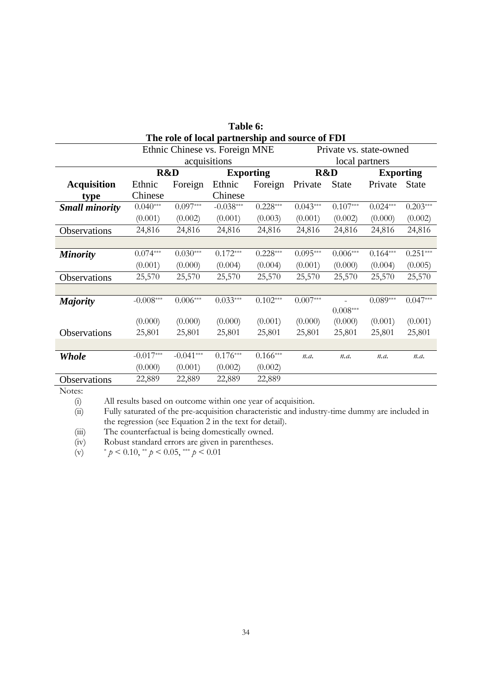| Table 6:                                                  |             |                                |                  |            |            |              |                  |              |  |  |
|-----------------------------------------------------------|-------------|--------------------------------|------------------|------------|------------|--------------|------------------|--------------|--|--|
| The role of local partnership and source of FDI           |             |                                |                  |            |            |              |                  |              |  |  |
| Ethnic Chinese vs. Foreign MNE<br>Private vs. state-owned |             |                                |                  |            |            |              |                  |              |  |  |
|                                                           |             | acquisitions<br>local partners |                  |            |            |              |                  |              |  |  |
|                                                           |             | R&D                            | <b>Exporting</b> |            |            | R&D          | <b>Exporting</b> |              |  |  |
| <b>Acquisition</b>                                        | Ethnic      | Foreign                        | Ethnic           | Foreign    | Private    | <b>State</b> | Private          | <b>State</b> |  |  |
| type                                                      | Chinese     |                                | Chinese          |            |            |              |                  |              |  |  |
| <b>Small minority</b>                                     | $0.040***$  | $0.097***$                     | $-0.038***$      | $0.228***$ | $0.043***$ | $0.107***$   | $0.024***$       | $0.203***$   |  |  |
|                                                           | (0.001)     | (0.002)                        | (0.001)          | (0.003)    | (0.001)    | (0.002)      | (0.000)          | (0.002)      |  |  |
| Observations                                              | 24,816      | 24,816                         | 24,816           | 24,816     | 24,816     | 24,816       | 24,816           | 24,816       |  |  |
|                                                           |             |                                |                  |            |            |              |                  |              |  |  |
| <b>Minority</b>                                           | $0.074***$  | $0.030***$                     | $0.172***$       | $0.228***$ | $0.095***$ | $0.006***$   | $0.164***$       | $0.251***$   |  |  |
|                                                           | (0.001)     | (0.000)                        | (0.004)          | (0.004)    | (0.001)    | (0.000)      | (0.004)          | (0.005)      |  |  |
| Observations                                              | 25,570      | 25,570                         | 25,570           | 25,570     | 25,570     | 25,570       | 25,570           | 25,570       |  |  |
|                                                           |             |                                |                  |            |            |              |                  |              |  |  |
| <b>Majority</b>                                           | $-0.008***$ | $0.006***$                     | $0.033***$       | $0.102***$ | $0.007***$ |              | $0.089***$       | $0.047***$   |  |  |
|                                                           |             |                                |                  |            |            | $0.008***$   |                  |              |  |  |
|                                                           | (0.000)     | (0.000)                        | (0.000)          | (0.001)    | (0.000)    | (0.000)      | (0.001)          | (0.001)      |  |  |
| Observations                                              | 25,801      | 25,801                         | 25,801           | 25,801     | 25,801     | 25,801       | 25,801           | 25,801       |  |  |
|                                                           |             |                                |                  |            |            |              |                  |              |  |  |
| Whole                                                     | $-0.017***$ | $-0.041***$                    | $0.176***$       | $0.166***$ | n.a.       | n.a.         | n.a.             | n.a.         |  |  |
|                                                           | (0.000)     | (0.001)                        | (0.002)          | (0.002)    |            |              |                  |              |  |  |
| Observations                                              | 22,889      | 22,889                         | 22,889           | 22,889     |            |              |                  |              |  |  |

(i) All results based on outcome within one year of acquisition.<br>
(ii) Fully saturated of the pre-acquisition characteristic and indus Fully saturated of the pre-acquisition characteristic and industry-time dummy are included in the regression (see Equation 2 in the text for detail).

(iii) The counterfactual is being domestically owned.<br>
(iv) Robust standard errors are given in parentheses.<br>
(v)  $* p < 0.10, ** p < 0.05, ** p < 0.01$ (iv) Robust standard errors are given in parentheses.

(v) \* *p* < 0.10, \*\* *p* < 0.05, \*\*\* *p* < 0.01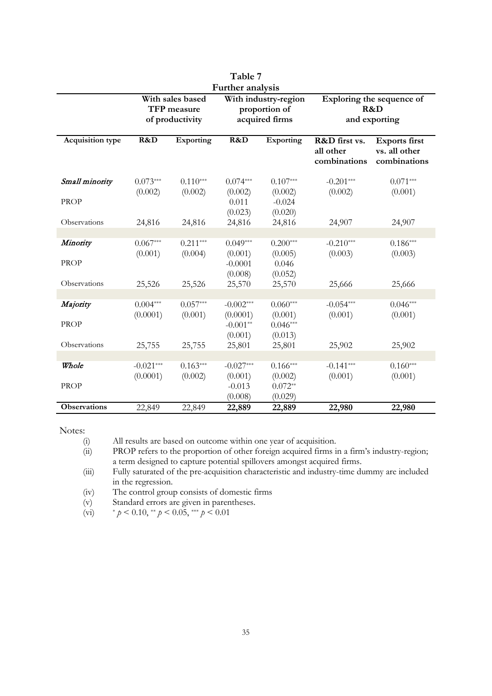| 1 able 7<br>Further analysis |                                                                                                               |                       |                                                  |                                                   |                                            |                                                       |  |  |  |  |  |
|------------------------------|---------------------------------------------------------------------------------------------------------------|-----------------------|--------------------------------------------------|---------------------------------------------------|--------------------------------------------|-------------------------------------------------------|--|--|--|--|--|
|                              | With sales based<br>With industry-region<br>TFP measure<br>proportion of<br>acquired firms<br>of productivity |                       |                                                  | Exploring the sequence of<br>R&D<br>and exporting |                                            |                                                       |  |  |  |  |  |
| <b>Acquisition type</b>      | R&D                                                                                                           | Exporting             | R&D                                              | Exporting                                         | R&D first vs.<br>all other<br>combinations | <b>Exports</b> first<br>vs. all other<br>combinations |  |  |  |  |  |
| Small minority               | $0.073***$                                                                                                    | $0.110***$            | $0.074***$                                       | $0.107***$                                        | $-0.201***$                                | $0.071***$                                            |  |  |  |  |  |
| <b>PROP</b>                  | (0.002)                                                                                                       | (0.002)               | (0.002)<br>0.011<br>(0.023)                      | (0.002)<br>$-0.024$<br>(0.020)                    | (0.002)                                    | (0.001)                                               |  |  |  |  |  |
| Observations                 | 24,816                                                                                                        | 24,816                | 24,816                                           | 24,816                                            | 24,907                                     | 24,907                                                |  |  |  |  |  |
| Minority<br><b>PROP</b>      | $0.067***$<br>(0.001)                                                                                         | $0.211***$<br>(0.004) | $0.049***$<br>(0.001)<br>$-0.0001$<br>(0.008)    | $0.200***$<br>(0.005)<br>0.046<br>(0.052)         | $-0.210***$<br>(0.003)                     | $0.186***$<br>(0.003)                                 |  |  |  |  |  |
| Observations                 | 25,526                                                                                                        | 25,526                | 25,570                                           | 25,570                                            | 25,666                                     | 25,666                                                |  |  |  |  |  |
| Majority<br><b>PROP</b>      | $0.004***$<br>(0.0001)                                                                                        | $0.057***$<br>(0.001) | $-0.002***$<br>(0.0001)<br>$-0.001**$<br>(0.001) | $0.060***$<br>(0.001)<br>$0.046***$<br>(0.013)    | $-0.054***$<br>(0.001)                     | $0.046***$<br>(0.001)                                 |  |  |  |  |  |
| Observations                 | 25,755                                                                                                        | 25,755                | 25,801                                           | 25,801                                            | 25,902                                     | 25,902                                                |  |  |  |  |  |
| Whole<br><b>PROP</b>         | $-0.021***$<br>(0.0001)                                                                                       | $0.163***$<br>(0.002) | $-0.027***$<br>(0.001)<br>$-0.013$<br>(0.008)    | $0.166***$<br>(0.002)<br>$0.072**$<br>(0.029)     | $-0.141***$<br>(0.001)                     | $0.160***$<br>(0.001)                                 |  |  |  |  |  |
| <b>Observations</b>          | 22,849                                                                                                        | 22,849                | 22,889                                           | 22,889                                            | 22,980                                     | 22,980                                                |  |  |  |  |  |

**Table 7** 

(i) All results are based on outcome within one year of acquisition.

(ii) PROP refers to the proportion of other foreign acquired firms in a firm's industry-region; a term designed to capture potential spillovers amongst acquired firms.

(iii) Fully saturated of the pre-acquisition characteristic and industry-time dummy are included in the regression.

(iv) The control group consists of domestic firms

(v) Standard errors are given in parentheses.

(vi) \* *p* < 0.10, \*\* *p* < 0.05, \*\*\* *p* < 0.01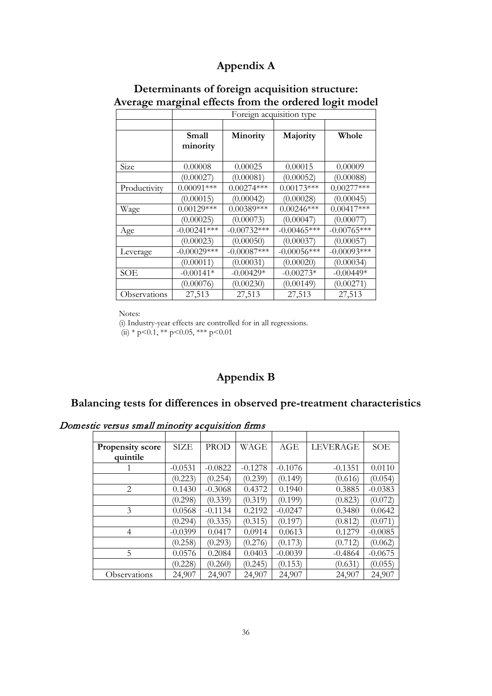### **Appendix A**

| Determinants of foreign acquisition structure:        |
|-------------------------------------------------------|
| Average marginal effects from the ordered logit model |

|              |               | Foreign acquisition type |                |               |  |  |  |  |  |  |  |
|--------------|---------------|--------------------------|----------------|---------------|--|--|--|--|--|--|--|
|              |               |                          |                |               |  |  |  |  |  |  |  |
|              | Small         | Minority                 | Majority       | Whole         |  |  |  |  |  |  |  |
|              | minority      |                          |                |               |  |  |  |  |  |  |  |
|              |               |                          |                |               |  |  |  |  |  |  |  |
| Size         | 0.00008       | 0.00025                  | 0.00015        | 0.00009       |  |  |  |  |  |  |  |
|              | (0.00027)     | (0.00081)                | (0.00052)      | (0.00088)     |  |  |  |  |  |  |  |
| Productivity | $0.00091***$  | $0.00274***$             | $0.00173***$   | $0.00277***$  |  |  |  |  |  |  |  |
|              | (0.00015)     | (0.00042)                | (0.00028)      | (0.00045)     |  |  |  |  |  |  |  |
| Wage         | $0.00129***$  | $0.00389***$             | $0.00246***$   | $0.00417***$  |  |  |  |  |  |  |  |
|              | (0.00025)     | (0.00073)                | (0.00047)      | (0.00077)     |  |  |  |  |  |  |  |
| Age          | $-0.00241***$ | $-0.00732***$            | $-0.00465***$  | $-0.00765***$ |  |  |  |  |  |  |  |
|              | (0.00023)     | (0.00050)                | (0.00037)      | (0.00057)     |  |  |  |  |  |  |  |
| Leverage     | $-0.00029***$ | $-0.00087***$            | $-0.00056$ *** | $-0.00093***$ |  |  |  |  |  |  |  |
|              | (0.00011)     | (0.00031)                | (0.00020)      | (0.00034)     |  |  |  |  |  |  |  |
| SOE          | $-0.00141*$   | $-0.00429*$              | $-0.00273*$    | $-0.00449*$   |  |  |  |  |  |  |  |
|              | (0.00076)     | (0.00230)                | (0.00149)      | (0.00271)     |  |  |  |  |  |  |  |
| Observations | 27,513        | 27,513                   | 27,513         | 27,513        |  |  |  |  |  |  |  |

Notes:

(i) Industry-year effects are controlled for in all regressions.

 $(iii)$  \* p < 0.1, \*\* p < 0.05, \*\*\* p < 0.01

### **Appendix B**

### **Balancing tests for differences in observed pre-treatment characteristics**

Domestic versus small minority acquisition firms

| <b>Propensity score</b> | <b>SIZE</b> | <b>PROD</b> | WAGE      | <b>AGE</b> | <b>LEVERAGE</b> | <b>SOE</b> |
|-------------------------|-------------|-------------|-----------|------------|-----------------|------------|
| quintile                |             |             |           |            |                 |            |
|                         | $-0.0531$   | $-0.0822$   | $-0.1278$ | $-0.1076$  | $-0.1351$       | 0.0110     |
|                         | (0.223)     | (0.254)     | (0.239)   | (0.149)    | (0.616)         | (0.054)    |
| 2                       | 0.1430      | $-0.3068$   | 0.4372    | 0.1940     | 0.3885          | $-0.0383$  |
|                         | (0.298)     | (0.339)     | (0.319)   | (0.199)    | (0.823)         | (0.072)    |
| 3                       | 0.0568      | $-0.1134$   | 0.2192    | $-0.0247$  | 0.3480          | 0.0642     |
|                         | (0.294)     | (0.335)     | (0.315)   | (0.197)    | (0.812)         | (0.071)    |
| $\overline{4}$          | $-0.0399$   | 0.0417      | 0.0914    | 0.0613     | 0.1279          | $-0.0085$  |
|                         | (0.258)     | (0.293)     | (0.276)   | (0.173)    | (0.712)         | (0.062)    |
| 5                       | 0.0576      | 0.2084      | 0.0403    | $-0.0039$  | $-0.4864$       | $-0.0675$  |
|                         | (0.228)     | (0.260)     | (0.245)   | (0.153)    | (0.631)         | (0.055)    |
| Observations            | 24,907      | 24,907      | 24,907    | 24,907     | 24,907          | 24,907     |